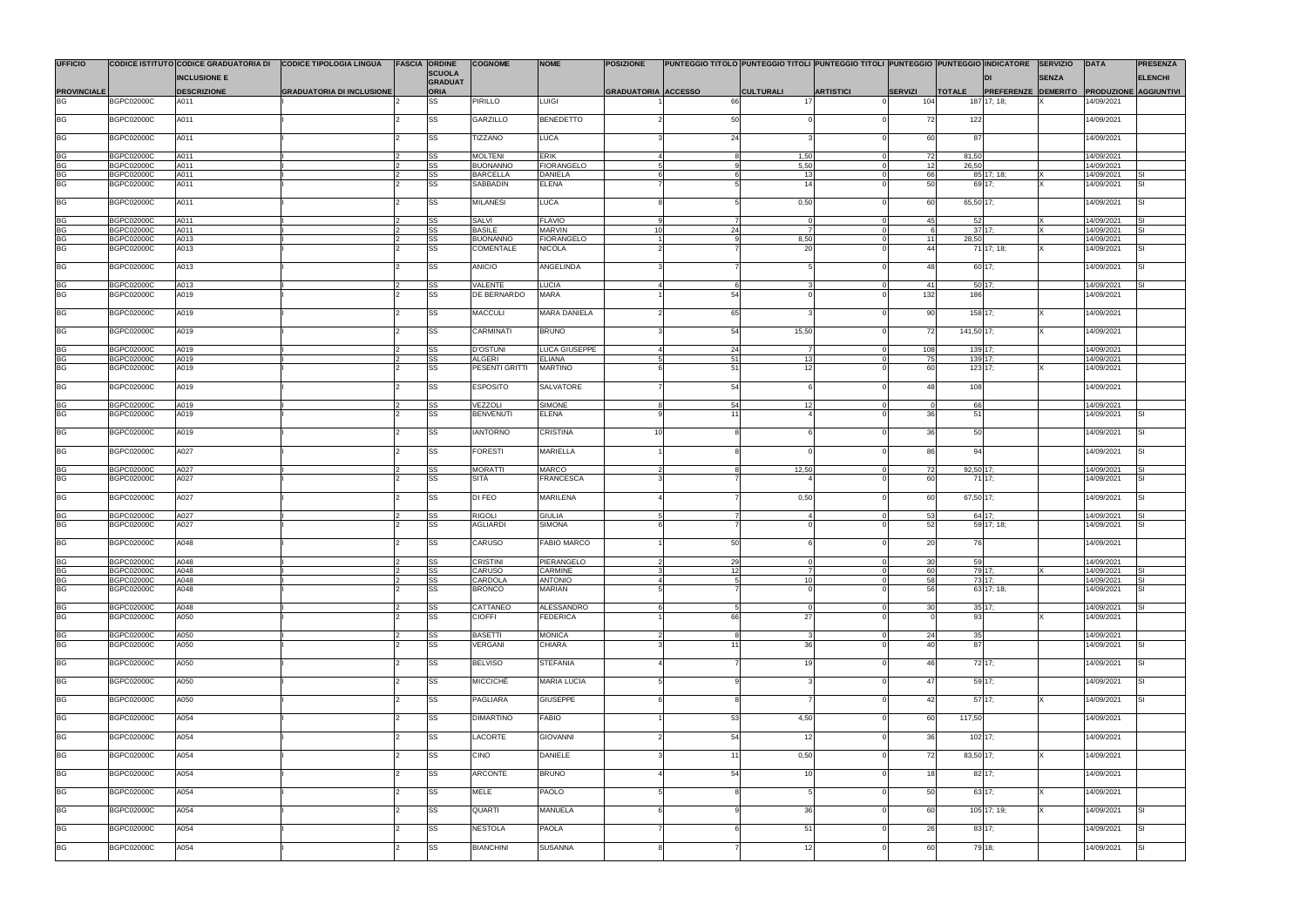| <b>UFFICIO</b>                  |                                        |                            | CODICE ISTITUTO CODICE GRADUATORIA DI CODICE TIPOLOGIA LINGUA | <b>FASCIA ORDINE</b> | <b>COGNOME</b>                    | <b>NOME</b>                        | <b>POSIZIONE</b>           |                    | PUNTEGGIO TITOLO PUNTEGGIO TITOLI PUNTEGGIO TITOLI PUNTEGGIO PUNTEGGIO INDICATORE SERVIZIO |                  |                                   |                |                                                  |              | DATA                     | <b>PRESENZA</b>  |
|---------------------------------|----------------------------------------|----------------------------|---------------------------------------------------------------|----------------------|-----------------------------------|------------------------------------|----------------------------|--------------------|--------------------------------------------------------------------------------------------|------------------|-----------------------------------|----------------|--------------------------------------------------|--------------|--------------------------|------------------|
|                                 |                                        | <b>INCLUSIONE E</b>        |                                                               | <b>SCUOLA</b>        |                                   |                                    |                            |                    |                                                                                            |                  |                                   |                |                                                  | <b>SENZA</b> |                          | <b>ELENCHI</b>   |
|                                 |                                        |                            |                                                               | GRADUAT              |                                   |                                    |                            |                    |                                                                                            |                  |                                   |                |                                                  |              |                          |                  |
| <b>PROVINCIALE</b><br><b>BG</b> |                                        | <b>DESCRIZIONE</b><br>A011 | <b>GRADUATORIA DI INCLUSIONE</b>                              | <b>ORIA</b><br>SS    | <b>PIRILLO</b>                    | <b>LUIGI</b>                       | <b>GRADUATORIA ACCESSO</b> |                    | <b>CULTURALI</b><br>17                                                                     | <b>ARTISTICI</b> | <b>SERVIZI</b><br>104             | <b>TOTALE</b>  | <b>PREFERENZE DEMERITO PRODUZIONE AGGIUNTIVI</b> |              | 14/09/2021               |                  |
|                                 | <b>BGPC02000C</b>                      |                            |                                                               |                      |                                   |                                    |                            |                    |                                                                                            |                  |                                   |                | 187 17; 18;                                      |              |                          |                  |
| <b>BG</b>                       | <b>BGPC02000C</b>                      | A011                       |                                                               | SS                   | GARZILLO                          | <b>BENEDETTO</b>                   |                            | 50                 |                                                                                            |                  | 72                                | 122            |                                                  |              | 14/09/2021               |                  |
| <b>BG</b>                       | <b>BGPC02000C</b>                      | A011                       |                                                               | SS                   | TIZZANO                           | <b>LUCA</b>                        |                            | 24                 |                                                                                            |                  | 60                                | 87             |                                                  |              | 14/09/2021               |                  |
| <b>BG</b>                       |                                        |                            |                                                               |                      |                                   |                                    |                            |                    |                                                                                            |                  |                                   |                |                                                  |              |                          |                  |
|                                 | <b>BGPC02000C</b><br><b>BGPC02000C</b> | A011<br>A011               |                                                               | SS<br>SS             | <b>MOLTENI</b><br><b>BUONANNO</b> | <b>ERIK</b><br><b>FIORANGELO</b>   |                            |                    | 1,50<br>5,50                                                                               |                  | 72<br>12                          | 81,50<br>26,50 |                                                  |              | 14/09/2021<br>14/09/2021 |                  |
| BIG<br>BIG<br>BG                | <b>BGPC02000C</b>                      | A011                       |                                                               | SS                   | <b>BARCELLA</b>                   | <b>DANIELA</b>                     |                            |                    | 13                                                                                         |                  | 66                                |                | 85 17; 18;                                       |              | 14/09/2021               | <b>SI</b>        |
|                                 | <b>BGPC02000C</b>                      | A011                       |                                                               | SS                   | <b>SABBADIN</b>                   | <b>ELENA</b>                       |                            |                    | 14                                                                                         |                  | 50                                |                | 69 17;                                           |              | 14/09/2021               | lsı              |
|                                 |                                        |                            |                                                               |                      |                                   |                                    |                            |                    |                                                                                            |                  |                                   |                |                                                  |              |                          |                  |
| <b>BG</b>                       | <b>BGPC02000C</b>                      | A011                       |                                                               | SS                   | <b>MILANESI</b>                   | <b>LUCA</b>                        |                            |                    | 0,50                                                                                       |                  | 60                                | 65,50 17;      |                                                  |              | 14/09/2021               | <b>SI</b>        |
| BG<br>BG                        | <b>BGPC02000C</b>                      | A011                       |                                                               | SS                   | <b>SALVI</b><br><b>BASILE</b>     | <b>FLAVIO</b>                      | 10                         |                    |                                                                                            |                  | 45                                | 52             | 37 17:                                           |              | 14/09/2021               | Isı<br><b>SI</b> |
|                                 | <b>BGPC02000C</b><br><b>BGPC02000C</b> | A011<br>A013               |                                                               | SS<br>SS             | <b>BUONANNO</b>                   | <b>MARVIN</b><br><b>FIORANGELO</b> |                            | 24                 | 8,50                                                                                       |                  | 11                                | 28,50          |                                                  |              | 14/09/2021<br>14/09/2021 |                  |
| BG<br>BG                        | <b>BGPC02000C</b>                      | A013                       |                                                               | SS                   | <b>COMENTALE</b>                  | <b>NICOLA</b>                      |                            |                    | 20                                                                                         |                  | 44                                |                | 71 17; 18;                                       |              | 14/09/2021               | <b>SI</b>        |
|                                 |                                        |                            |                                                               |                      |                                   |                                    |                            |                    |                                                                                            |                  |                                   |                |                                                  |              |                          |                  |
| <b>BG</b>                       | <b>BGPC02000C</b>                      | A013                       |                                                               | SS                   | <b>ANICIO</b>                     | ANGELINDA                          |                            |                    |                                                                                            |                  | 48                                |                | 60 17;                                           |              | 14/09/2021               | lsı              |
| BG<br>BG                        | <b>BGPC02000C</b>                      | A013                       |                                                               | SS                   | VALENTE                           | <b>LUCIA</b>                       |                            |                    | $6\overline{6}$                                                                            |                  | 41                                |                | 50 17;                                           |              | 14/09/2021               | ISI              |
|                                 | <b>BGPC02000C</b>                      | A019                       |                                                               | SS                   | DE BERNARDO                       | <b>MARA</b>                        |                            | 54                 |                                                                                            |                  | 132                               | 186            |                                                  |              | 14/09/2021               |                  |
| <b>BG</b>                       | <b>BGPC02000C</b>                      | A019                       |                                                               | SS                   | <b>MACCULI</b>                    | <b>MARA DANIELA</b>                |                            | 65                 |                                                                                            |                  | 90                                |                | 158 17;                                          |              | 14/09/2021               |                  |
| <b>BG</b>                       | <b>BGPC02000C</b>                      | A019                       |                                                               | SS                   | CARMINATI                         | <b>BRUNO</b>                       |                            | 54                 | 15,50                                                                                      |                  | 72                                | 141,50 17;     |                                                  |              | 14/09/2021               |                  |
|                                 | <b>BGPC02000C</b>                      | A019                       |                                                               | SS                   | <b>D'OSTUNI</b>                   | LUCA GIUSEPPE                      |                            | 24                 |                                                                                            |                  | 108                               | 139 17;        |                                                  |              | 14/09/2021               |                  |
|                                 | <b>BGPC02000C</b>                      | A019                       |                                                               | SS                   | <b>ALGERI</b>                     | <b>ELIANA</b>                      |                            | 51                 | 13                                                                                         |                  | 75                                |                | 139 17;                                          |              | 14/09/2021               |                  |
| $\frac{BG}{BG}$                 | BGPC02000C                             | A019                       |                                                               | SS                   | PESENTI GRITTI                    | <b>MARTINO</b>                     |                            | 51                 |                                                                                            |                  | 60                                |                | 123 17;                                          |              | 14/09/2021               |                  |
| <b>BG</b>                       | <b>BGPC02000C</b>                      | A019                       |                                                               | SS                   | <b>ESPOSITO</b>                   | SALVATORE                          |                            | 54                 |                                                                                            |                  | 48                                | 108            |                                                  |              | 14/09/2021               |                  |
| BG<br>BG                        | <b>BGPC02000C</b>                      | A019                       |                                                               | SS                   | <b>VEZZOLI</b>                    | <b>SIMONE</b>                      |                            | 54                 | 12 <sup>1</sup>                                                                            |                  |                                   | 66             |                                                  |              | 14/09/2021               |                  |
|                                 | <b>BGPC02000C</b>                      | A019                       |                                                               | SS                   | <b>BENVENUTI</b>                  | <b>ELENA</b>                       |                            | 11                 |                                                                                            |                  | 36                                | 51             |                                                  |              | 14/09/2021               | <b>SI</b>        |
| <b>BG</b>                       | <b>BGPC02000C</b>                      | A019                       |                                                               | SS                   | <b>IANTORNO</b>                   | CRISTINA                           | 10 <sup>1</sup>            |                    |                                                                                            |                  | 36                                | 50             |                                                  |              | 14/09/2021               | <b>SI</b>        |
| <b>BG</b>                       | <b>BGPC02000C</b>                      | A027                       |                                                               | SS                   | <b>FORESTI</b>                    | MARIELLA                           |                            |                    |                                                                                            |                  | 86                                | 94             |                                                  |              | 14/09/2021               | <b>SI</b>        |
| $rac{BG}{BG}$                   | <b>BGPC02000C</b>                      | A027                       |                                                               | SS                   | <b>MORATTI</b>                    | <b>MARCO</b>                       |                            |                    | 12,50                                                                                      |                  | 72<br>60                          | 92,50 17;      |                                                  |              | 14/09/2021               | Isı              |
|                                 | <b>BGPC02000C</b>                      | A027                       |                                                               | SS                   | SITÀ                              | <b>FRANCESCA</b>                   |                            |                    |                                                                                            |                  |                                   |                | 71 17;                                           |              | 14/09/2021               | <b>SI</b>        |
| <b>BG</b>                       | <b>BGPC02000C</b>                      | A027                       |                                                               | SS                   | DI FEO                            | <b>MARILENA</b>                    |                            |                    | 0,50                                                                                       |                  | 60                                | 67,50 17;      |                                                  |              | 14/09/2021               | lsı              |
| $rac{BG}{BG}$                   | <b>BGPC02000C</b>                      | A027                       |                                                               | SS                   | <b>RIGOLI</b>                     | <b>GIULIA</b>                      |                            |                    |                                                                                            |                  | 53                                |                | 64 17;                                           |              | 14/09/2021               | <b>SI</b>        |
|                                 | <b>BGPC02000C</b>                      | A027                       |                                                               | SS                   | <b>AGLIARDI</b>                   | <b>SIMONA</b>                      |                            |                    |                                                                                            |                  | 52                                |                | 59 17; 18;                                       |              | 14/09/2021               | <b>SI</b>        |
| <b>BG</b>                       | <b>BGPC02000C</b>                      | A048                       |                                                               | SS                   | CARUSO                            | <b>FABIO MARCO</b>                 |                            | 50                 |                                                                                            |                  | 20                                | 76             |                                                  |              | 14/09/2021               |                  |
|                                 |                                        |                            |                                                               |                      |                                   |                                    |                            |                    |                                                                                            |                  |                                   |                |                                                  |              |                          |                  |
| BG<br>BG                        | <b>BGPC02000C</b><br><b>BGPC02000C</b> | A048<br>A048               |                                                               | SS                   | <b>CRISTINI</b><br><b>CARUSO</b>  | PIERANGELO<br>CARMINE              |                            | 29<br>$\mathbf{R}$ | $\overline{7}$                                                                             |                  | 30 <sup>1</sup><br>60<br>$\Omega$ | 59             | 79 17;                                           |              | 14/09/2021               |                  |
|                                 | BGPC02000C                             | A048                       |                                                               | SS<br>SS             | <b>CARDOLA</b>                    | <b>ANTONIO</b>                     | 4                          | 12<br>5            | 10 <sup>1</sup>                                                                            |                  | 58                                |                | 73 17;                                           |              | 14/09/2021<br>14/09/2021 | ISI<br>ISI       |
| BG<br>BG                        | <b>BGPC02000C</b>                      | A048                       |                                                               | SS                   | <b>BRONCO</b>                     | <b>MARIAN</b>                      |                            |                    |                                                                                            |                  | 56                                |                | 63 17; 18;                                       |              | 14/09/2021               | <b>SI</b>        |
|                                 |                                        |                            |                                                               |                      |                                   |                                    |                            |                    |                                                                                            |                  |                                   |                |                                                  |              |                          |                  |
| BG<br>BG                        | <b>BGPC02000C</b>                      | A048                       |                                                               | SS                   | CATTANEO                          | <b>ALESSANDRO</b>                  |                            |                    |                                                                                            |                  | 30 <sup>1</sup>                   |                | 35 17;                                           |              | 14/09/2021               | lsı              |
|                                 | <b>BGPC02000C</b>                      | A050                       |                                                               | SS                   | <b>CIOFFI</b>                     | <b>FEDERICA</b>                    |                            | 66                 | 27                                                                                         |                  |                                   | 93             |                                                  |              | 14/09/2021               |                  |
|                                 | <b>BGPC02000C</b>                      | A050                       |                                                               | SS                   | <b>BASETTI</b>                    | <b>MONICA</b>                      |                            |                    |                                                                                            |                  | 24                                | 35             |                                                  |              | 14/09/2021               |                  |
| BG<br>BG                        | <b>BGPC02000C</b>                      | A050                       |                                                               | SS                   | VERGANI                           | CHIARA                             |                            | 11                 | 36                                                                                         |                  | 40 <sup>1</sup>                   | 87             |                                                  |              | 14/09/2021               | lsı              |
| <b>BG</b>                       | <b>BGPC02000C</b>                      | A050                       |                                                               | SS                   | <b>BELVISO</b>                    | <b>STEFANIA</b>                    |                            |                    | 19                                                                                         |                  | 46                                |                | 72 17;                                           |              | 14/09/2021               | <b>ISI</b>       |
| <b>BG</b>                       | <b>BGPC02000C</b>                      | A050                       |                                                               | SS                   | <b>MICCICHÈ</b>                   | <b>MARIA LUCIA</b>                 |                            |                    |                                                                                            |                  | 47                                |                | 59 17;                                           |              | 14/09/2021               | Isı              |
| <b>BG</b>                       | BGPC02000C                             | A050                       |                                                               | SS                   | <b>PAGLIARA</b>                   | <b>GIUSEPPE</b>                    |                            |                    |                                                                                            |                  | 42                                |                | $57$ 17;                                         |              | 14/09/2021               | <b>SI</b>        |
| <b>BG</b>                       | <b>BGPC02000C</b>                      | A054                       |                                                               | SS                   | <b>DIMARTINO</b>                  | <b>FABIO</b>                       |                            | 53                 | 4,50                                                                                       |                  | 60                                | 117,50         |                                                  |              | 14/09/2021               |                  |
|                                 |                                        |                            |                                                               |                      |                                   |                                    |                            |                    |                                                                                            |                  |                                   |                |                                                  |              |                          |                  |
| <b>BG</b>                       | <b>BGPC02000C</b>                      | A054                       |                                                               | SS                   | <b>LACORTE</b>                    | <b>GIOVANNI</b>                    |                            | 54                 | 12                                                                                         |                  | 36                                |                | 102 17;                                          |              | 14/09/2021               |                  |
| <b>BG</b>                       | <b>BGPC02000C</b>                      | A054                       |                                                               | SS                   | <b>CINO</b>                       | <b>DANIELE</b>                     |                            | 11                 | 0,50                                                                                       |                  | 72                                | 83,50 17;      |                                                  |              | 14/09/2021               |                  |
| <b>BG</b>                       | <b>BGPC02000C</b>                      | A054                       |                                                               | SS                   | <b>ARCONTE</b>                    | <b>BRUNO</b>                       |                            | 54                 | 10 <sup>1</sup>                                                                            |                  | 18                                |                | 82 17;                                           |              | 14/09/2021               |                  |
| <b>BG</b>                       | <b>BGPC02000C</b>                      | A054                       |                                                               | SS                   | <b>MELE</b>                       | <b>PAOLO</b>                       |                            |                    |                                                                                            |                  | 50                                |                | 63 17;                                           |              | 14/09/2021               |                  |
| <b>BG</b>                       | <b>BGPC02000C</b>                      | A054                       |                                                               | SS                   | QUARTI                            | <b>MANUELA</b>                     |                            |                    | 36                                                                                         |                  | 60                                |                | 105 17; 19;                                      |              | 14/09/2021               | lsı              |
| <b>BG</b>                       | <b>BGPC02000C</b>                      | A054                       |                                                               | SS                   | <b>NESTOLA</b>                    | <b>PAOLA</b>                       |                            |                    | 51                                                                                         |                  | 26                                |                | 83 17;                                           |              | 14/09/2021               | lsı              |
| <b>BG</b>                       | <b>BGPC02000C</b>                      | A054                       |                                                               | SS                   | <b>BIANCHINI</b>                  | <b>SUSANNA</b>                     |                            |                    | 12 <sup>1</sup>                                                                            |                  | 60                                |                | 79 18;                                           |              | 14/09/2021               | <b>SI</b>        |
|                                 |                                        |                            |                                                               |                      |                                   |                                    |                            |                    |                                                                                            |                  |                                   |                |                                                  |              |                          |                  |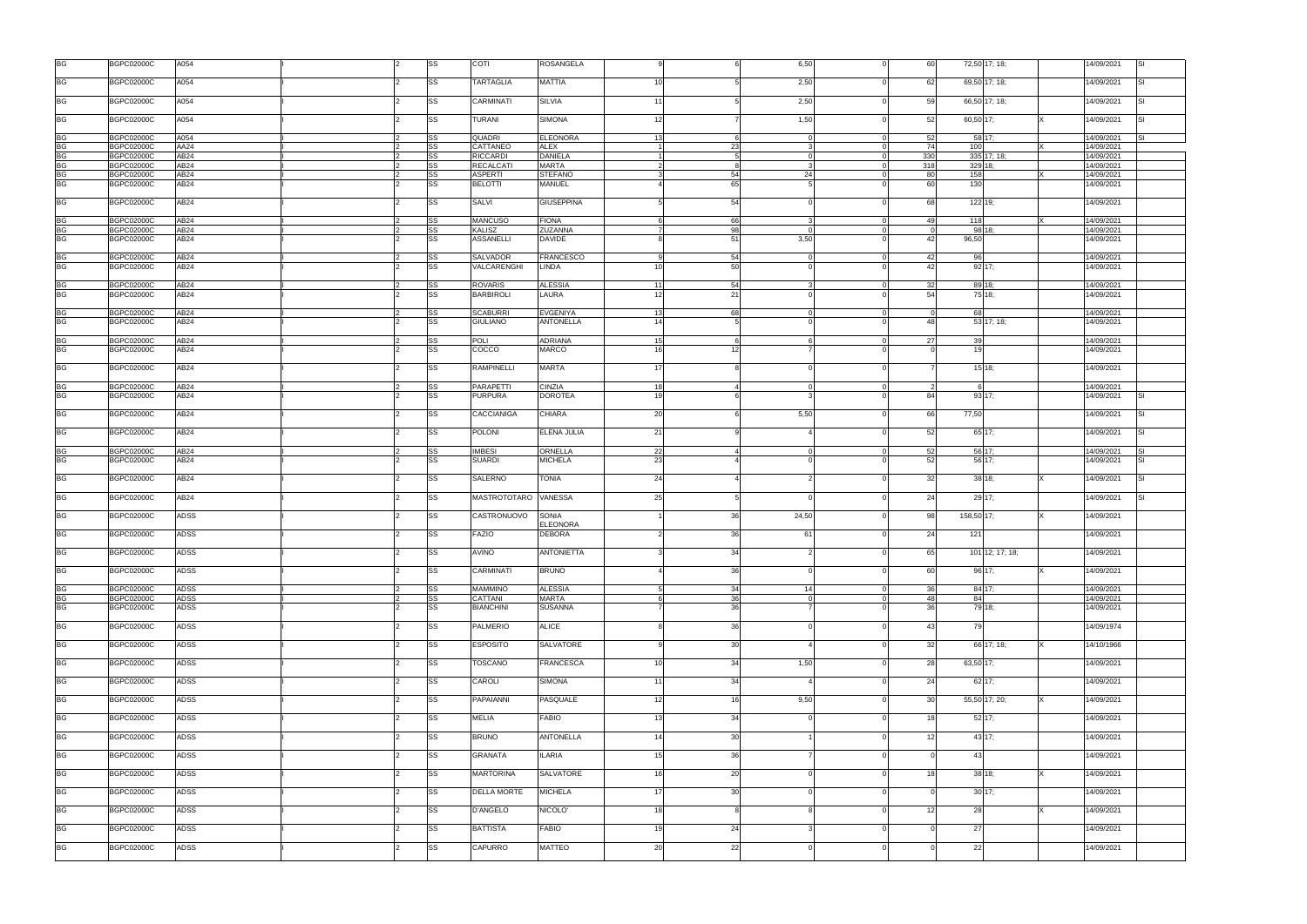| <b>BG</b><br><b>BGPC02000C</b><br>A054<br><b>SS</b><br><b>TARTAGLIA</b><br>MATTIA<br>2,50<br>62<br>69,50 17; 18;<br>14/09/2021<br>SI<br>10<br>BG<br><b>BGPC02000C</b><br>A054<br>SS<br><b>CARMINATI</b><br><b>SILVIA</b><br>2,50<br>59<br>66,50 17; 18;<br>SI<br>14/09/2021<br>11<br>BG<br>A054<br><b>BGPC02000C</b><br>SS<br>SIMONA<br>1,50<br>52<br>60,50 17;<br>Isı<br>TURANI<br>14/09/2021<br>12<br><b>BG</b><br><b>BGPC02000C</b><br>A054<br>SS<br><b>QUADRI</b><br><b>ELEONORA</b><br>52<br>58 17;<br>14/09/2021<br>13<br>6<br>$\Omega$<br>SI.<br><b>BG</b><br>AA24<br><b>SS</b><br>23<br>74<br>100<br><b>BGPC02000C</b><br>CATTANEO<br>ALEX<br>14/09/2021<br>$\mathbf{B}$<br><b>BG</b><br><b>BGPC02000C</b><br>AB <sub>24</sub><br><b>SS</b><br><b>RICCARDI</b><br><b>DANIELA</b><br>330<br>335 17; 18;<br>5<br>14/09/2021<br>$\Omega$<br><b>BG</b><br>SS<br>AB24<br><b>RECALCAT</b><br><b>MARTA</b><br>318<br>329 18;<br><b>BGPC02000C</b><br>14/09/2021<br>8<br><b>BG</b><br>54<br><b>BGPC02000C</b><br>AB <sub>24</sub><br>SS<br><b>ASPERTI</b><br><b>STEFANO</b><br>24<br>80<br>158<br>14/09/2021<br><b>BG</b><br><b>BGPC02000C</b><br>AB24<br><b>SS</b><br><b>BELOTTI</b><br><b>MANUEL</b><br>65<br>60<br>130<br>14/09/2021<br><b>BG</b><br><b>BGPC02000C</b><br>AB <sub>24</sub><br><b>SS</b><br><b>SALVI</b><br><b>GIUSEPPINA</b><br>54<br>68<br>122 19;<br>14/09/2021<br><b>BG</b><br><b>BGPC02000C</b><br>AB <sub>24</sub><br>SS<br><b>MANCUSO</b><br><b>FIONA</b><br>66<br>49<br>118<br>14/09/2021<br>BG<br>98<br><b>BGPC02000C</b><br>AB24<br>SS<br><b>KALISZ</b><br>ZUZANNA<br>98 18:<br>14/09/2021<br>$\Omega$<br><b>BG</b><br><b>SS</b><br>51<br>3,50<br>42<br>AB24<br><b>ASSANELLI</b><br>96,50<br><b>BGPC02000C</b><br><b>DAVIDE</b><br>14/09/2021<br><b>BG</b><br><b>BGPC02000C</b><br>AB24<br>SS<br><b>SALVADOR</b><br><b>FRANCESCO</b><br>54<br>42<br>96<br>14/09/2021<br>BG<br><b>AB24</b><br><b>SS</b><br>VALCARENGHI<br>50<br>42<br><b>BGPC02000C</b><br><b>LINDA</b><br>92 17;<br>14/09/2021<br>10<br><b>BG</b><br>54<br><b>BGPC02000C</b><br>AB24<br><b>SS</b><br><b>ROVARIS</b><br><b>ALESSIA</b><br>32<br>89 18;<br>11<br>14/09/2021<br><b>BG</b><br><b>BGPC02000C</b><br>AB24<br><b>SS</b><br><b>BARBIROLI</b><br>LAURA<br>21<br>54<br>75 18:<br>12<br>14/09/2021<br><b>BG</b><br><b>AB24</b><br>68<br><b>BGPC02000C</b><br>SS<br><b>SCABURRI</b><br><b>EVGENIYA</b><br>68<br>14/09/2021<br>13<br>$\mathbf 0$<br><b>BG</b><br><b>BGPC02000C</b><br>AB24<br>SS<br><b>GIULIANO</b><br><b>ANTONELLA</b><br>48<br>53 17; 18;<br>14/09/2021<br>14<br><b>BG</b><br><b>BGPC02000C</b><br>AB <sub>24</sub><br><b>SS</b><br><b>POLI</b><br><b>ADRIANA</b><br>27<br>39<br>14/09/2021<br>6<br>15<br>BG<br>AB <sub>24</sub><br><b>SS</b><br><b>MARCO</b><br>12<br>19<br><b>BGPC02000C</b><br>COCCO<br>16<br>14/09/2021<br><b>BG</b><br><b>BGPC02000C</b><br>AB <sub>24</sub><br>SS<br><b>RAMPINELLI</b><br><b>MARTA</b><br>$15$ 18;<br>14/09/2021<br>17<br><b>BG</b><br><b>BGPC02000C</b><br>AB <sub>24</sub><br><b>PARAPETTI</b><br>CINZIA<br>SS<br>14/09/2021<br>18<br>$\overline{4}$<br>$\Omega$<br>6<br>BG<br><b>SS</b><br>AB <sub>24</sub><br><b>PURPURA</b><br><b>DOROTEA</b><br>84<br>93 17;<br>Isı<br><b>BGPC02000C</b><br>19<br>14/09/2021<br><b>BG</b><br><b>BGPC02000C</b><br>AB <sub>24</sub><br>SS<br><b>CACCIANIGA</b><br>CHIARA<br>20<br>5,50<br>66<br>77,50<br>14/09/2021<br><b>SI</b><br><b>BG</b><br><b>BGPC02000C</b><br>AB <sub>24</sub><br><b>SS</b><br><b>POLONI</b><br><b>ELENA JULIA</b><br>52<br>65 17:<br>21<br>14/09/2021<br>SI<br><b>BG</b><br>AB <sub>24</sub><br>SS<br><b>IMBESI</b><br>22<br>52<br>56 17;<br><b>BGPC02000C</b><br>ORNELLA<br>14/09/2021<br><b>SI</b><br><b>BG</b><br><b>BGPC02000C</b><br>AB24<br><b>SS</b><br><b>SUARDI</b><br><b>MICHELA</b><br>23<br>52<br>56 17;<br>14/09/2021<br>Isı<br><b>BG</b><br><b>BGPC02000C</b><br>AB <sub>24</sub><br>SS<br>SALERNO<br>TONIA<br>24<br>32<br>38 18;<br>SI<br>14/09/2021<br><b>BG</b><br>AB <sub>24</sub><br>SS<br>VANESSA<br>25<br>24<br>29 17;<br>Isı<br><b>BGPC02000C</b><br>MASTROTOTARO<br>14/09/2021<br><b>BG</b><br>SS<br>SONIA<br><b>BGPC02000C</b><br><b>ADSS</b><br>CASTRONUOVO<br>36<br>24,50<br>98<br>158,50 17;<br>14/09/2021<br>ELEONORA<br><b>BG</b><br><b>ADSS</b><br><b>DEBORA</b><br><b>BGPC02000C</b><br>SS<br><b>FAZIO</b><br>36 <sup>1</sup><br>24<br>121<br>14/09/2021<br>61<br><b>BGPC02000C</b><br>ADSS<br>SS<br><b>AVINO</b><br><b>ANTONIETTA</b><br>34<br>65<br>101 12; 17; 18;<br>14/09/2021<br><b>BG</b><br><b>CARMINATI</b><br>$96\ 17;$<br><b>BGPC02000C</b><br>ADSS<br>SS<br><b>BRUNO</b><br>36<br>60<br>14/09/2021<br>$\Omega$<br>$\frac{\text{BG}}{\text{BG}}$<br><b>ALESSIA</b><br>34<br><b>BGPC02000C</b><br><b>ADSS</b><br>SS<br><b>MAMMINO</b><br>14<br>36<br>84 17;<br>14/09/2021<br>36<br>SS<br><b>BGPC02000C</b><br><b>ADSS</b><br>CATTANI<br><b>MARTA</b><br>48<br>84<br>14/09/2021<br>6<br>$\Omega$<br><b>BG</b><br><b>SS</b><br>36<br>79 18;<br><b>ADSS</b><br><b>BIANCHINI</b><br><b>SUSANNA</b><br>36<br><b>BGPC02000C</b><br>14/09/2021<br><b>BG</b><br><b>ADSS</b><br>SS<br><b>ALICE</b><br>79<br><b>BGPC02000C</b><br><b>PALMERIO</b><br>36<br>43<br>14/09/1974<br><b>BG</b><br><b>BGPC02000C</b><br><b>ADSS</b><br>SS<br><b>ESPOSITO</b><br>SALVATORE<br>30<br>32<br>66 17; 18;<br>14/10/1966<br>Ix<br><b>BG</b><br><b>FRANCESCA</b><br>34<br><b>BGPC02000C</b><br>ADSS<br>SS<br><b>TOSCANO</b><br>1,50<br>28<br>63,50 17;<br>10<br>14/09/2021<br><b>BG</b><br><b>ADSS</b><br>34<br><b>BGPC02000C</b><br>SS<br>CAROLI<br><b>SIMONA</b><br>24<br>62 17;<br>14/09/2021<br>11<br>BG<br>SS<br>16<br><b>ADSS</b><br>PAPAIANNI<br>PASQUALE<br>9,50<br>30<br>55,50 17; 20;<br><b>BGPC02000C</b><br>12<br>14/09/2021<br><b>BG</b><br>ADSS<br>SS<br><b>FABIO</b><br>34<br>52 17;<br><b>BGPC02000C</b><br><b>MELIA</b><br>13<br>18<br>14/09/2021<br><b>BG</b><br>BGPC02000C<br>ADSS<br>SS<br><b>BRUNO</b><br><b>ANTONELLA</b><br>14<br>30<br>12<br>43 17;<br>14/09/2021<br><b>BG</b><br><b>ADSS</b><br><b>ILARIA</b><br>36<br><b>BGPC02000C</b><br>SS<br><b>GRANATA</b><br>43<br>14/09/2021<br>15<br>$\Omega$<br><b>BG</b><br><b>BGPC02000C</b><br>ADSS<br>SS<br><b>MARTORINA</b><br>SALVATORE<br>20<br>38 18;<br>18<br>14/09/2021<br>16<br>BG<br>SS<br>30<br><b>ADSS</b><br><b>DELLA MORTE</b><br><b>MICHELA</b><br>$30$ 17;<br><b>BGPC02000C</b><br>17<br>14/09/2021<br>$\Omega$<br><b>BG</b><br><b>BGPC02000C</b><br><b>ADSS</b><br>SS<br><b>D'ANGELO</b><br>NICOLO'<br>12<br>28<br>14/09/2021<br>18<br><b>BG</b><br><b>BGPC02000C</b><br>ADSS<br>SS<br><b>BATTISTA</b><br><b>FABIO</b><br>19<br>24<br>27<br>14/09/2021<br><b>BG</b><br><b>ADSS</b><br><b>BGPC02000C</b><br>SS<br>CAPURRO<br>MATTEO<br>20<br>22<br>22<br>14/09/2021 | <b>BG</b> | <b>BGPC02000C</b> | A054 |  | SS | COTI | <b>ROSANGELA</b> |  | 6,50 | 60 | 72,50 17; 18; | 14/09/2021<br>Isı |
|-----------------------------------------------------------------------------------------------------------------------------------------------------------------------------------------------------------------------------------------------------------------------------------------------------------------------------------------------------------------------------------------------------------------------------------------------------------------------------------------------------------------------------------------------------------------------------------------------------------------------------------------------------------------------------------------------------------------------------------------------------------------------------------------------------------------------------------------------------------------------------------------------------------------------------------------------------------------------------------------------------------------------------------------------------------------------------------------------------------------------------------------------------------------------------------------------------------------------------------------------------------------------------------------------------------------------------------------------------------------------------------------------------------------------------------------------------------------------------------------------------------------------------------------------------------------------------------------------------------------------------------------------------------------------------------------------------------------------------------------------------------------------------------------------------------------------------------------------------------------------------------------------------------------------------------------------------------------------------------------------------------------------------------------------------------------------------------------------------------------------------------------------------------------------------------------------------------------------------------------------------------------------------------------------------------------------------------------------------------------------------------------------------------------------------------------------------------------------------------------------------------------------------------------------------------------------------------------------------------------------------------------------------------------------------------------------------------------------------------------------------------------------------------------------------------------------------------------------------------------------------------------------------------------------------------------------------------------------------------------------------------------------------------------------------------------------------------------------------------------------------------------------------------------------------------------------------------------------------------------------------------------------------------------------------------------------------------------------------------------------------------------------------------------------------------------------------------------------------------------------------------------------------------------------------------------------------------------------------------------------------------------------------------------------------------------------------------------------------------------------------------------------------------------------------------------------------------------------------------------------------------------------------------------------------------------------------------------------------------------------------------------------------------------------------------------------------------------------------------------------------------------------------------------------------------------------------------------------------------------------------------------------------------------------------------------------------------------------------------------------------------------------------------------------------------------------------------------------------------------------------------------------------------------------------------------------------------------------------------------------------------------------------------------------------------------------------------------------------------------------------------------------------------------------------------------------------------------------------------------------------------------------------------------------------------------------------------------------------------------------------------------------------------------------------------------------------------------------------------------------------------------------------------------------------------------------------------------------------------------------------------------------------------------------------------------------------------------------------------------------------------------------------------------------------------------------------------------------------------------------------------------------------------------------------------------------------------------------------------------------------------------------------------------------------------------------------------------------------------------------------------------------------------------------------------------------------------------------------------------------------------------------------------------------------------------------------------------------------------------------------------------------------------------------------------------------------------------------------------------------------------------------------------------------------------------------------------------------------------------------------------------------------------------------------------------------------------------------------------------------------------------------------------------------------------------------------------------------------------------------------------------------------------------------------------------------------------------------------------------------------------------------------------------------------------------------------------------------------------------------------------------------------------------------|-----------|-------------------|------|--|----|------|------------------|--|------|----|---------------|-------------------|
|                                                                                                                                                                                                                                                                                                                                                                                                                                                                                                                                                                                                                                                                                                                                                                                                                                                                                                                                                                                                                                                                                                                                                                                                                                                                                                                                                                                                                                                                                                                                                                                                                                                                                                                                                                                                                                                                                                                                                                                                                                                                                                                                                                                                                                                                                                                                                                                                                                                                                                                                                                                                                                                                                                                                                                                                                                                                                                                                                                                                                                                                                                                                                                                                                                                                                                                                                                                                                                                                                                                                                                                                                                                                                                                                                                                                                                                                                                                                                                                                                                                                                                                                                                                                                                                                                                                                                                                                                                                                                                                                                                                                                                                                                                                                                                                                                                                                                                                                                                                                                                                                                                                                                                                                                                                                                                                                                                                                                                                                                                                                                                                                                                                                                                                                                                                                                                                                                                                                                                                                                                                                                                                                                                                                                                                                                                                                                                                                                                                                                                                                                                                                                                                                                                                                                                                               |           |                   |      |  |    |      |                  |  |      |    |               |                   |
|                                                                                                                                                                                                                                                                                                                                                                                                                                                                                                                                                                                                                                                                                                                                                                                                                                                                                                                                                                                                                                                                                                                                                                                                                                                                                                                                                                                                                                                                                                                                                                                                                                                                                                                                                                                                                                                                                                                                                                                                                                                                                                                                                                                                                                                                                                                                                                                                                                                                                                                                                                                                                                                                                                                                                                                                                                                                                                                                                                                                                                                                                                                                                                                                                                                                                                                                                                                                                                                                                                                                                                                                                                                                                                                                                                                                                                                                                                                                                                                                                                                                                                                                                                                                                                                                                                                                                                                                                                                                                                                                                                                                                                                                                                                                                                                                                                                                                                                                                                                                                                                                                                                                                                                                                                                                                                                                                                                                                                                                                                                                                                                                                                                                                                                                                                                                                                                                                                                                                                                                                                                                                                                                                                                                                                                                                                                                                                                                                                                                                                                                                                                                                                                                                                                                                                                               |           |                   |      |  |    |      |                  |  |      |    |               |                   |
|                                                                                                                                                                                                                                                                                                                                                                                                                                                                                                                                                                                                                                                                                                                                                                                                                                                                                                                                                                                                                                                                                                                                                                                                                                                                                                                                                                                                                                                                                                                                                                                                                                                                                                                                                                                                                                                                                                                                                                                                                                                                                                                                                                                                                                                                                                                                                                                                                                                                                                                                                                                                                                                                                                                                                                                                                                                                                                                                                                                                                                                                                                                                                                                                                                                                                                                                                                                                                                                                                                                                                                                                                                                                                                                                                                                                                                                                                                                                                                                                                                                                                                                                                                                                                                                                                                                                                                                                                                                                                                                                                                                                                                                                                                                                                                                                                                                                                                                                                                                                                                                                                                                                                                                                                                                                                                                                                                                                                                                                                                                                                                                                                                                                                                                                                                                                                                                                                                                                                                                                                                                                                                                                                                                                                                                                                                                                                                                                                                                                                                                                                                                                                                                                                                                                                                                               |           |                   |      |  |    |      |                  |  |      |    |               |                   |
|                                                                                                                                                                                                                                                                                                                                                                                                                                                                                                                                                                                                                                                                                                                                                                                                                                                                                                                                                                                                                                                                                                                                                                                                                                                                                                                                                                                                                                                                                                                                                                                                                                                                                                                                                                                                                                                                                                                                                                                                                                                                                                                                                                                                                                                                                                                                                                                                                                                                                                                                                                                                                                                                                                                                                                                                                                                                                                                                                                                                                                                                                                                                                                                                                                                                                                                                                                                                                                                                                                                                                                                                                                                                                                                                                                                                                                                                                                                                                                                                                                                                                                                                                                                                                                                                                                                                                                                                                                                                                                                                                                                                                                                                                                                                                                                                                                                                                                                                                                                                                                                                                                                                                                                                                                                                                                                                                                                                                                                                                                                                                                                                                                                                                                                                                                                                                                                                                                                                                                                                                                                                                                                                                                                                                                                                                                                                                                                                                                                                                                                                                                                                                                                                                                                                                                                               |           |                   |      |  |    |      |                  |  |      |    |               |                   |
|                                                                                                                                                                                                                                                                                                                                                                                                                                                                                                                                                                                                                                                                                                                                                                                                                                                                                                                                                                                                                                                                                                                                                                                                                                                                                                                                                                                                                                                                                                                                                                                                                                                                                                                                                                                                                                                                                                                                                                                                                                                                                                                                                                                                                                                                                                                                                                                                                                                                                                                                                                                                                                                                                                                                                                                                                                                                                                                                                                                                                                                                                                                                                                                                                                                                                                                                                                                                                                                                                                                                                                                                                                                                                                                                                                                                                                                                                                                                                                                                                                                                                                                                                                                                                                                                                                                                                                                                                                                                                                                                                                                                                                                                                                                                                                                                                                                                                                                                                                                                                                                                                                                                                                                                                                                                                                                                                                                                                                                                                                                                                                                                                                                                                                                                                                                                                                                                                                                                                                                                                                                                                                                                                                                                                                                                                                                                                                                                                                                                                                                                                                                                                                                                                                                                                                                               |           |                   |      |  |    |      |                  |  |      |    |               |                   |
|                                                                                                                                                                                                                                                                                                                                                                                                                                                                                                                                                                                                                                                                                                                                                                                                                                                                                                                                                                                                                                                                                                                                                                                                                                                                                                                                                                                                                                                                                                                                                                                                                                                                                                                                                                                                                                                                                                                                                                                                                                                                                                                                                                                                                                                                                                                                                                                                                                                                                                                                                                                                                                                                                                                                                                                                                                                                                                                                                                                                                                                                                                                                                                                                                                                                                                                                                                                                                                                                                                                                                                                                                                                                                                                                                                                                                                                                                                                                                                                                                                                                                                                                                                                                                                                                                                                                                                                                                                                                                                                                                                                                                                                                                                                                                                                                                                                                                                                                                                                                                                                                                                                                                                                                                                                                                                                                                                                                                                                                                                                                                                                                                                                                                                                                                                                                                                                                                                                                                                                                                                                                                                                                                                                                                                                                                                                                                                                                                                                                                                                                                                                                                                                                                                                                                                                               |           |                   |      |  |    |      |                  |  |      |    |               |                   |
|                                                                                                                                                                                                                                                                                                                                                                                                                                                                                                                                                                                                                                                                                                                                                                                                                                                                                                                                                                                                                                                                                                                                                                                                                                                                                                                                                                                                                                                                                                                                                                                                                                                                                                                                                                                                                                                                                                                                                                                                                                                                                                                                                                                                                                                                                                                                                                                                                                                                                                                                                                                                                                                                                                                                                                                                                                                                                                                                                                                                                                                                                                                                                                                                                                                                                                                                                                                                                                                                                                                                                                                                                                                                                                                                                                                                                                                                                                                                                                                                                                                                                                                                                                                                                                                                                                                                                                                                                                                                                                                                                                                                                                                                                                                                                                                                                                                                                                                                                                                                                                                                                                                                                                                                                                                                                                                                                                                                                                                                                                                                                                                                                                                                                                                                                                                                                                                                                                                                                                                                                                                                                                                                                                                                                                                                                                                                                                                                                                                                                                                                                                                                                                                                                                                                                                                               |           |                   |      |  |    |      |                  |  |      |    |               |                   |
|                                                                                                                                                                                                                                                                                                                                                                                                                                                                                                                                                                                                                                                                                                                                                                                                                                                                                                                                                                                                                                                                                                                                                                                                                                                                                                                                                                                                                                                                                                                                                                                                                                                                                                                                                                                                                                                                                                                                                                                                                                                                                                                                                                                                                                                                                                                                                                                                                                                                                                                                                                                                                                                                                                                                                                                                                                                                                                                                                                                                                                                                                                                                                                                                                                                                                                                                                                                                                                                                                                                                                                                                                                                                                                                                                                                                                                                                                                                                                                                                                                                                                                                                                                                                                                                                                                                                                                                                                                                                                                                                                                                                                                                                                                                                                                                                                                                                                                                                                                                                                                                                                                                                                                                                                                                                                                                                                                                                                                                                                                                                                                                                                                                                                                                                                                                                                                                                                                                                                                                                                                                                                                                                                                                                                                                                                                                                                                                                                                                                                                                                                                                                                                                                                                                                                                                               |           |                   |      |  |    |      |                  |  |      |    |               |                   |
|                                                                                                                                                                                                                                                                                                                                                                                                                                                                                                                                                                                                                                                                                                                                                                                                                                                                                                                                                                                                                                                                                                                                                                                                                                                                                                                                                                                                                                                                                                                                                                                                                                                                                                                                                                                                                                                                                                                                                                                                                                                                                                                                                                                                                                                                                                                                                                                                                                                                                                                                                                                                                                                                                                                                                                                                                                                                                                                                                                                                                                                                                                                                                                                                                                                                                                                                                                                                                                                                                                                                                                                                                                                                                                                                                                                                                                                                                                                                                                                                                                                                                                                                                                                                                                                                                                                                                                                                                                                                                                                                                                                                                                                                                                                                                                                                                                                                                                                                                                                                                                                                                                                                                                                                                                                                                                                                                                                                                                                                                                                                                                                                                                                                                                                                                                                                                                                                                                                                                                                                                                                                                                                                                                                                                                                                                                                                                                                                                                                                                                                                                                                                                                                                                                                                                                                               |           |                   |      |  |    |      |                  |  |      |    |               |                   |
|                                                                                                                                                                                                                                                                                                                                                                                                                                                                                                                                                                                                                                                                                                                                                                                                                                                                                                                                                                                                                                                                                                                                                                                                                                                                                                                                                                                                                                                                                                                                                                                                                                                                                                                                                                                                                                                                                                                                                                                                                                                                                                                                                                                                                                                                                                                                                                                                                                                                                                                                                                                                                                                                                                                                                                                                                                                                                                                                                                                                                                                                                                                                                                                                                                                                                                                                                                                                                                                                                                                                                                                                                                                                                                                                                                                                                                                                                                                                                                                                                                                                                                                                                                                                                                                                                                                                                                                                                                                                                                                                                                                                                                                                                                                                                                                                                                                                                                                                                                                                                                                                                                                                                                                                                                                                                                                                                                                                                                                                                                                                                                                                                                                                                                                                                                                                                                                                                                                                                                                                                                                                                                                                                                                                                                                                                                                                                                                                                                                                                                                                                                                                                                                                                                                                                                                               |           |                   |      |  |    |      |                  |  |      |    |               |                   |
|                                                                                                                                                                                                                                                                                                                                                                                                                                                                                                                                                                                                                                                                                                                                                                                                                                                                                                                                                                                                                                                                                                                                                                                                                                                                                                                                                                                                                                                                                                                                                                                                                                                                                                                                                                                                                                                                                                                                                                                                                                                                                                                                                                                                                                                                                                                                                                                                                                                                                                                                                                                                                                                                                                                                                                                                                                                                                                                                                                                                                                                                                                                                                                                                                                                                                                                                                                                                                                                                                                                                                                                                                                                                                                                                                                                                                                                                                                                                                                                                                                                                                                                                                                                                                                                                                                                                                                                                                                                                                                                                                                                                                                                                                                                                                                                                                                                                                                                                                                                                                                                                                                                                                                                                                                                                                                                                                                                                                                                                                                                                                                                                                                                                                                                                                                                                                                                                                                                                                                                                                                                                                                                                                                                                                                                                                                                                                                                                                                                                                                                                                                                                                                                                                                                                                                                               |           |                   |      |  |    |      |                  |  |      |    |               |                   |
|                                                                                                                                                                                                                                                                                                                                                                                                                                                                                                                                                                                                                                                                                                                                                                                                                                                                                                                                                                                                                                                                                                                                                                                                                                                                                                                                                                                                                                                                                                                                                                                                                                                                                                                                                                                                                                                                                                                                                                                                                                                                                                                                                                                                                                                                                                                                                                                                                                                                                                                                                                                                                                                                                                                                                                                                                                                                                                                                                                                                                                                                                                                                                                                                                                                                                                                                                                                                                                                                                                                                                                                                                                                                                                                                                                                                                                                                                                                                                                                                                                                                                                                                                                                                                                                                                                                                                                                                                                                                                                                                                                                                                                                                                                                                                                                                                                                                                                                                                                                                                                                                                                                                                                                                                                                                                                                                                                                                                                                                                                                                                                                                                                                                                                                                                                                                                                                                                                                                                                                                                                                                                                                                                                                                                                                                                                                                                                                                                                                                                                                                                                                                                                                                                                                                                                                               |           |                   |      |  |    |      |                  |  |      |    |               |                   |
|                                                                                                                                                                                                                                                                                                                                                                                                                                                                                                                                                                                                                                                                                                                                                                                                                                                                                                                                                                                                                                                                                                                                                                                                                                                                                                                                                                                                                                                                                                                                                                                                                                                                                                                                                                                                                                                                                                                                                                                                                                                                                                                                                                                                                                                                                                                                                                                                                                                                                                                                                                                                                                                                                                                                                                                                                                                                                                                                                                                                                                                                                                                                                                                                                                                                                                                                                                                                                                                                                                                                                                                                                                                                                                                                                                                                                                                                                                                                                                                                                                                                                                                                                                                                                                                                                                                                                                                                                                                                                                                                                                                                                                                                                                                                                                                                                                                                                                                                                                                                                                                                                                                                                                                                                                                                                                                                                                                                                                                                                                                                                                                                                                                                                                                                                                                                                                                                                                                                                                                                                                                                                                                                                                                                                                                                                                                                                                                                                                                                                                                                                                                                                                                                                                                                                                                               |           |                   |      |  |    |      |                  |  |      |    |               |                   |
|                                                                                                                                                                                                                                                                                                                                                                                                                                                                                                                                                                                                                                                                                                                                                                                                                                                                                                                                                                                                                                                                                                                                                                                                                                                                                                                                                                                                                                                                                                                                                                                                                                                                                                                                                                                                                                                                                                                                                                                                                                                                                                                                                                                                                                                                                                                                                                                                                                                                                                                                                                                                                                                                                                                                                                                                                                                                                                                                                                                                                                                                                                                                                                                                                                                                                                                                                                                                                                                                                                                                                                                                                                                                                                                                                                                                                                                                                                                                                                                                                                                                                                                                                                                                                                                                                                                                                                                                                                                                                                                                                                                                                                                                                                                                                                                                                                                                                                                                                                                                                                                                                                                                                                                                                                                                                                                                                                                                                                                                                                                                                                                                                                                                                                                                                                                                                                                                                                                                                                                                                                                                                                                                                                                                                                                                                                                                                                                                                                                                                                                                                                                                                                                                                                                                                                                               |           |                   |      |  |    |      |                  |  |      |    |               |                   |
|                                                                                                                                                                                                                                                                                                                                                                                                                                                                                                                                                                                                                                                                                                                                                                                                                                                                                                                                                                                                                                                                                                                                                                                                                                                                                                                                                                                                                                                                                                                                                                                                                                                                                                                                                                                                                                                                                                                                                                                                                                                                                                                                                                                                                                                                                                                                                                                                                                                                                                                                                                                                                                                                                                                                                                                                                                                                                                                                                                                                                                                                                                                                                                                                                                                                                                                                                                                                                                                                                                                                                                                                                                                                                                                                                                                                                                                                                                                                                                                                                                                                                                                                                                                                                                                                                                                                                                                                                                                                                                                                                                                                                                                                                                                                                                                                                                                                                                                                                                                                                                                                                                                                                                                                                                                                                                                                                                                                                                                                                                                                                                                                                                                                                                                                                                                                                                                                                                                                                                                                                                                                                                                                                                                                                                                                                                                                                                                                                                                                                                                                                                                                                                                                                                                                                                                               |           |                   |      |  |    |      |                  |  |      |    |               |                   |
|                                                                                                                                                                                                                                                                                                                                                                                                                                                                                                                                                                                                                                                                                                                                                                                                                                                                                                                                                                                                                                                                                                                                                                                                                                                                                                                                                                                                                                                                                                                                                                                                                                                                                                                                                                                                                                                                                                                                                                                                                                                                                                                                                                                                                                                                                                                                                                                                                                                                                                                                                                                                                                                                                                                                                                                                                                                                                                                                                                                                                                                                                                                                                                                                                                                                                                                                                                                                                                                                                                                                                                                                                                                                                                                                                                                                                                                                                                                                                                                                                                                                                                                                                                                                                                                                                                                                                                                                                                                                                                                                                                                                                                                                                                                                                                                                                                                                                                                                                                                                                                                                                                                                                                                                                                                                                                                                                                                                                                                                                                                                                                                                                                                                                                                                                                                                                                                                                                                                                                                                                                                                                                                                                                                                                                                                                                                                                                                                                                                                                                                                                                                                                                                                                                                                                                                               |           |                   |      |  |    |      |                  |  |      |    |               |                   |
|                                                                                                                                                                                                                                                                                                                                                                                                                                                                                                                                                                                                                                                                                                                                                                                                                                                                                                                                                                                                                                                                                                                                                                                                                                                                                                                                                                                                                                                                                                                                                                                                                                                                                                                                                                                                                                                                                                                                                                                                                                                                                                                                                                                                                                                                                                                                                                                                                                                                                                                                                                                                                                                                                                                                                                                                                                                                                                                                                                                                                                                                                                                                                                                                                                                                                                                                                                                                                                                                                                                                                                                                                                                                                                                                                                                                                                                                                                                                                                                                                                                                                                                                                                                                                                                                                                                                                                                                                                                                                                                                                                                                                                                                                                                                                                                                                                                                                                                                                                                                                                                                                                                                                                                                                                                                                                                                                                                                                                                                                                                                                                                                                                                                                                                                                                                                                                                                                                                                                                                                                                                                                                                                                                                                                                                                                                                                                                                                                                                                                                                                                                                                                                                                                                                                                                                               |           |                   |      |  |    |      |                  |  |      |    |               |                   |
|                                                                                                                                                                                                                                                                                                                                                                                                                                                                                                                                                                                                                                                                                                                                                                                                                                                                                                                                                                                                                                                                                                                                                                                                                                                                                                                                                                                                                                                                                                                                                                                                                                                                                                                                                                                                                                                                                                                                                                                                                                                                                                                                                                                                                                                                                                                                                                                                                                                                                                                                                                                                                                                                                                                                                                                                                                                                                                                                                                                                                                                                                                                                                                                                                                                                                                                                                                                                                                                                                                                                                                                                                                                                                                                                                                                                                                                                                                                                                                                                                                                                                                                                                                                                                                                                                                                                                                                                                                                                                                                                                                                                                                                                                                                                                                                                                                                                                                                                                                                                                                                                                                                                                                                                                                                                                                                                                                                                                                                                                                                                                                                                                                                                                                                                                                                                                                                                                                                                                                                                                                                                                                                                                                                                                                                                                                                                                                                                                                                                                                                                                                                                                                                                                                                                                                                               |           |                   |      |  |    |      |                  |  |      |    |               |                   |
|                                                                                                                                                                                                                                                                                                                                                                                                                                                                                                                                                                                                                                                                                                                                                                                                                                                                                                                                                                                                                                                                                                                                                                                                                                                                                                                                                                                                                                                                                                                                                                                                                                                                                                                                                                                                                                                                                                                                                                                                                                                                                                                                                                                                                                                                                                                                                                                                                                                                                                                                                                                                                                                                                                                                                                                                                                                                                                                                                                                                                                                                                                                                                                                                                                                                                                                                                                                                                                                                                                                                                                                                                                                                                                                                                                                                                                                                                                                                                                                                                                                                                                                                                                                                                                                                                                                                                                                                                                                                                                                                                                                                                                                                                                                                                                                                                                                                                                                                                                                                                                                                                                                                                                                                                                                                                                                                                                                                                                                                                                                                                                                                                                                                                                                                                                                                                                                                                                                                                                                                                                                                                                                                                                                                                                                                                                                                                                                                                                                                                                                                                                                                                                                                                                                                                                                               |           |                   |      |  |    |      |                  |  |      |    |               |                   |
|                                                                                                                                                                                                                                                                                                                                                                                                                                                                                                                                                                                                                                                                                                                                                                                                                                                                                                                                                                                                                                                                                                                                                                                                                                                                                                                                                                                                                                                                                                                                                                                                                                                                                                                                                                                                                                                                                                                                                                                                                                                                                                                                                                                                                                                                                                                                                                                                                                                                                                                                                                                                                                                                                                                                                                                                                                                                                                                                                                                                                                                                                                                                                                                                                                                                                                                                                                                                                                                                                                                                                                                                                                                                                                                                                                                                                                                                                                                                                                                                                                                                                                                                                                                                                                                                                                                                                                                                                                                                                                                                                                                                                                                                                                                                                                                                                                                                                                                                                                                                                                                                                                                                                                                                                                                                                                                                                                                                                                                                                                                                                                                                                                                                                                                                                                                                                                                                                                                                                                                                                                                                                                                                                                                                                                                                                                                                                                                                                                                                                                                                                                                                                                                                                                                                                                                               |           |                   |      |  |    |      |                  |  |      |    |               |                   |
|                                                                                                                                                                                                                                                                                                                                                                                                                                                                                                                                                                                                                                                                                                                                                                                                                                                                                                                                                                                                                                                                                                                                                                                                                                                                                                                                                                                                                                                                                                                                                                                                                                                                                                                                                                                                                                                                                                                                                                                                                                                                                                                                                                                                                                                                                                                                                                                                                                                                                                                                                                                                                                                                                                                                                                                                                                                                                                                                                                                                                                                                                                                                                                                                                                                                                                                                                                                                                                                                                                                                                                                                                                                                                                                                                                                                                                                                                                                                                                                                                                                                                                                                                                                                                                                                                                                                                                                                                                                                                                                                                                                                                                                                                                                                                                                                                                                                                                                                                                                                                                                                                                                                                                                                                                                                                                                                                                                                                                                                                                                                                                                                                                                                                                                                                                                                                                                                                                                                                                                                                                                                                                                                                                                                                                                                                                                                                                                                                                                                                                                                                                                                                                                                                                                                                                                               |           |                   |      |  |    |      |                  |  |      |    |               |                   |
|                                                                                                                                                                                                                                                                                                                                                                                                                                                                                                                                                                                                                                                                                                                                                                                                                                                                                                                                                                                                                                                                                                                                                                                                                                                                                                                                                                                                                                                                                                                                                                                                                                                                                                                                                                                                                                                                                                                                                                                                                                                                                                                                                                                                                                                                                                                                                                                                                                                                                                                                                                                                                                                                                                                                                                                                                                                                                                                                                                                                                                                                                                                                                                                                                                                                                                                                                                                                                                                                                                                                                                                                                                                                                                                                                                                                                                                                                                                                                                                                                                                                                                                                                                                                                                                                                                                                                                                                                                                                                                                                                                                                                                                                                                                                                                                                                                                                                                                                                                                                                                                                                                                                                                                                                                                                                                                                                                                                                                                                                                                                                                                                                                                                                                                                                                                                                                                                                                                                                                                                                                                                                                                                                                                                                                                                                                                                                                                                                                                                                                                                                                                                                                                                                                                                                                                               |           |                   |      |  |    |      |                  |  |      |    |               |                   |
|                                                                                                                                                                                                                                                                                                                                                                                                                                                                                                                                                                                                                                                                                                                                                                                                                                                                                                                                                                                                                                                                                                                                                                                                                                                                                                                                                                                                                                                                                                                                                                                                                                                                                                                                                                                                                                                                                                                                                                                                                                                                                                                                                                                                                                                                                                                                                                                                                                                                                                                                                                                                                                                                                                                                                                                                                                                                                                                                                                                                                                                                                                                                                                                                                                                                                                                                                                                                                                                                                                                                                                                                                                                                                                                                                                                                                                                                                                                                                                                                                                                                                                                                                                                                                                                                                                                                                                                                                                                                                                                                                                                                                                                                                                                                                                                                                                                                                                                                                                                                                                                                                                                                                                                                                                                                                                                                                                                                                                                                                                                                                                                                                                                                                                                                                                                                                                                                                                                                                                                                                                                                                                                                                                                                                                                                                                                                                                                                                                                                                                                                                                                                                                                                                                                                                                                               |           |                   |      |  |    |      |                  |  |      |    |               |                   |
|                                                                                                                                                                                                                                                                                                                                                                                                                                                                                                                                                                                                                                                                                                                                                                                                                                                                                                                                                                                                                                                                                                                                                                                                                                                                                                                                                                                                                                                                                                                                                                                                                                                                                                                                                                                                                                                                                                                                                                                                                                                                                                                                                                                                                                                                                                                                                                                                                                                                                                                                                                                                                                                                                                                                                                                                                                                                                                                                                                                                                                                                                                                                                                                                                                                                                                                                                                                                                                                                                                                                                                                                                                                                                                                                                                                                                                                                                                                                                                                                                                                                                                                                                                                                                                                                                                                                                                                                                                                                                                                                                                                                                                                                                                                                                                                                                                                                                                                                                                                                                                                                                                                                                                                                                                                                                                                                                                                                                                                                                                                                                                                                                                                                                                                                                                                                                                                                                                                                                                                                                                                                                                                                                                                                                                                                                                                                                                                                                                                                                                                                                                                                                                                                                                                                                                                               |           |                   |      |  |    |      |                  |  |      |    |               |                   |
|                                                                                                                                                                                                                                                                                                                                                                                                                                                                                                                                                                                                                                                                                                                                                                                                                                                                                                                                                                                                                                                                                                                                                                                                                                                                                                                                                                                                                                                                                                                                                                                                                                                                                                                                                                                                                                                                                                                                                                                                                                                                                                                                                                                                                                                                                                                                                                                                                                                                                                                                                                                                                                                                                                                                                                                                                                                                                                                                                                                                                                                                                                                                                                                                                                                                                                                                                                                                                                                                                                                                                                                                                                                                                                                                                                                                                                                                                                                                                                                                                                                                                                                                                                                                                                                                                                                                                                                                                                                                                                                                                                                                                                                                                                                                                                                                                                                                                                                                                                                                                                                                                                                                                                                                                                                                                                                                                                                                                                                                                                                                                                                                                                                                                                                                                                                                                                                                                                                                                                                                                                                                                                                                                                                                                                                                                                                                                                                                                                                                                                                                                                                                                                                                                                                                                                                               |           |                   |      |  |    |      |                  |  |      |    |               |                   |
|                                                                                                                                                                                                                                                                                                                                                                                                                                                                                                                                                                                                                                                                                                                                                                                                                                                                                                                                                                                                                                                                                                                                                                                                                                                                                                                                                                                                                                                                                                                                                                                                                                                                                                                                                                                                                                                                                                                                                                                                                                                                                                                                                                                                                                                                                                                                                                                                                                                                                                                                                                                                                                                                                                                                                                                                                                                                                                                                                                                                                                                                                                                                                                                                                                                                                                                                                                                                                                                                                                                                                                                                                                                                                                                                                                                                                                                                                                                                                                                                                                                                                                                                                                                                                                                                                                                                                                                                                                                                                                                                                                                                                                                                                                                                                                                                                                                                                                                                                                                                                                                                                                                                                                                                                                                                                                                                                                                                                                                                                                                                                                                                                                                                                                                                                                                                                                                                                                                                                                                                                                                                                                                                                                                                                                                                                                                                                                                                                                                                                                                                                                                                                                                                                                                                                                                               |           |                   |      |  |    |      |                  |  |      |    |               |                   |
|                                                                                                                                                                                                                                                                                                                                                                                                                                                                                                                                                                                                                                                                                                                                                                                                                                                                                                                                                                                                                                                                                                                                                                                                                                                                                                                                                                                                                                                                                                                                                                                                                                                                                                                                                                                                                                                                                                                                                                                                                                                                                                                                                                                                                                                                                                                                                                                                                                                                                                                                                                                                                                                                                                                                                                                                                                                                                                                                                                                                                                                                                                                                                                                                                                                                                                                                                                                                                                                                                                                                                                                                                                                                                                                                                                                                                                                                                                                                                                                                                                                                                                                                                                                                                                                                                                                                                                                                                                                                                                                                                                                                                                                                                                                                                                                                                                                                                                                                                                                                                                                                                                                                                                                                                                                                                                                                                                                                                                                                                                                                                                                                                                                                                                                                                                                                                                                                                                                                                                                                                                                                                                                                                                                                                                                                                                                                                                                                                                                                                                                                                                                                                                                                                                                                                                                               |           |                   |      |  |    |      |                  |  |      |    |               |                   |
|                                                                                                                                                                                                                                                                                                                                                                                                                                                                                                                                                                                                                                                                                                                                                                                                                                                                                                                                                                                                                                                                                                                                                                                                                                                                                                                                                                                                                                                                                                                                                                                                                                                                                                                                                                                                                                                                                                                                                                                                                                                                                                                                                                                                                                                                                                                                                                                                                                                                                                                                                                                                                                                                                                                                                                                                                                                                                                                                                                                                                                                                                                                                                                                                                                                                                                                                                                                                                                                                                                                                                                                                                                                                                                                                                                                                                                                                                                                                                                                                                                                                                                                                                                                                                                                                                                                                                                                                                                                                                                                                                                                                                                                                                                                                                                                                                                                                                                                                                                                                                                                                                                                                                                                                                                                                                                                                                                                                                                                                                                                                                                                                                                                                                                                                                                                                                                                                                                                                                                                                                                                                                                                                                                                                                                                                                                                                                                                                                                                                                                                                                                                                                                                                                                                                                                                               |           |                   |      |  |    |      |                  |  |      |    |               |                   |
|                                                                                                                                                                                                                                                                                                                                                                                                                                                                                                                                                                                                                                                                                                                                                                                                                                                                                                                                                                                                                                                                                                                                                                                                                                                                                                                                                                                                                                                                                                                                                                                                                                                                                                                                                                                                                                                                                                                                                                                                                                                                                                                                                                                                                                                                                                                                                                                                                                                                                                                                                                                                                                                                                                                                                                                                                                                                                                                                                                                                                                                                                                                                                                                                                                                                                                                                                                                                                                                                                                                                                                                                                                                                                                                                                                                                                                                                                                                                                                                                                                                                                                                                                                                                                                                                                                                                                                                                                                                                                                                                                                                                                                                                                                                                                                                                                                                                                                                                                                                                                                                                                                                                                                                                                                                                                                                                                                                                                                                                                                                                                                                                                                                                                                                                                                                                                                                                                                                                                                                                                                                                                                                                                                                                                                                                                                                                                                                                                                                                                                                                                                                                                                                                                                                                                                                               |           |                   |      |  |    |      |                  |  |      |    |               |                   |
|                                                                                                                                                                                                                                                                                                                                                                                                                                                                                                                                                                                                                                                                                                                                                                                                                                                                                                                                                                                                                                                                                                                                                                                                                                                                                                                                                                                                                                                                                                                                                                                                                                                                                                                                                                                                                                                                                                                                                                                                                                                                                                                                                                                                                                                                                                                                                                                                                                                                                                                                                                                                                                                                                                                                                                                                                                                                                                                                                                                                                                                                                                                                                                                                                                                                                                                                                                                                                                                                                                                                                                                                                                                                                                                                                                                                                                                                                                                                                                                                                                                                                                                                                                                                                                                                                                                                                                                                                                                                                                                                                                                                                                                                                                                                                                                                                                                                                                                                                                                                                                                                                                                                                                                                                                                                                                                                                                                                                                                                                                                                                                                                                                                                                                                                                                                                                                                                                                                                                                                                                                                                                                                                                                                                                                                                                                                                                                                                                                                                                                                                                                                                                                                                                                                                                                                               |           |                   |      |  |    |      |                  |  |      |    |               |                   |
|                                                                                                                                                                                                                                                                                                                                                                                                                                                                                                                                                                                                                                                                                                                                                                                                                                                                                                                                                                                                                                                                                                                                                                                                                                                                                                                                                                                                                                                                                                                                                                                                                                                                                                                                                                                                                                                                                                                                                                                                                                                                                                                                                                                                                                                                                                                                                                                                                                                                                                                                                                                                                                                                                                                                                                                                                                                                                                                                                                                                                                                                                                                                                                                                                                                                                                                                                                                                                                                                                                                                                                                                                                                                                                                                                                                                                                                                                                                                                                                                                                                                                                                                                                                                                                                                                                                                                                                                                                                                                                                                                                                                                                                                                                                                                                                                                                                                                                                                                                                                                                                                                                                                                                                                                                                                                                                                                                                                                                                                                                                                                                                                                                                                                                                                                                                                                                                                                                                                                                                                                                                                                                                                                                                                                                                                                                                                                                                                                                                                                                                                                                                                                                                                                                                                                                                               |           |                   |      |  |    |      |                  |  |      |    |               |                   |
|                                                                                                                                                                                                                                                                                                                                                                                                                                                                                                                                                                                                                                                                                                                                                                                                                                                                                                                                                                                                                                                                                                                                                                                                                                                                                                                                                                                                                                                                                                                                                                                                                                                                                                                                                                                                                                                                                                                                                                                                                                                                                                                                                                                                                                                                                                                                                                                                                                                                                                                                                                                                                                                                                                                                                                                                                                                                                                                                                                                                                                                                                                                                                                                                                                                                                                                                                                                                                                                                                                                                                                                                                                                                                                                                                                                                                                                                                                                                                                                                                                                                                                                                                                                                                                                                                                                                                                                                                                                                                                                                                                                                                                                                                                                                                                                                                                                                                                                                                                                                                                                                                                                                                                                                                                                                                                                                                                                                                                                                                                                                                                                                                                                                                                                                                                                                                                                                                                                                                                                                                                                                                                                                                                                                                                                                                                                                                                                                                                                                                                                                                                                                                                                                                                                                                                                               |           |                   |      |  |    |      |                  |  |      |    |               |                   |
|                                                                                                                                                                                                                                                                                                                                                                                                                                                                                                                                                                                                                                                                                                                                                                                                                                                                                                                                                                                                                                                                                                                                                                                                                                                                                                                                                                                                                                                                                                                                                                                                                                                                                                                                                                                                                                                                                                                                                                                                                                                                                                                                                                                                                                                                                                                                                                                                                                                                                                                                                                                                                                                                                                                                                                                                                                                                                                                                                                                                                                                                                                                                                                                                                                                                                                                                                                                                                                                                                                                                                                                                                                                                                                                                                                                                                                                                                                                                                                                                                                                                                                                                                                                                                                                                                                                                                                                                                                                                                                                                                                                                                                                                                                                                                                                                                                                                                                                                                                                                                                                                                                                                                                                                                                                                                                                                                                                                                                                                                                                                                                                                                                                                                                                                                                                                                                                                                                                                                                                                                                                                                                                                                                                                                                                                                                                                                                                                                                                                                                                                                                                                                                                                                                                                                                                               |           |                   |      |  |    |      |                  |  |      |    |               |                   |
|                                                                                                                                                                                                                                                                                                                                                                                                                                                                                                                                                                                                                                                                                                                                                                                                                                                                                                                                                                                                                                                                                                                                                                                                                                                                                                                                                                                                                                                                                                                                                                                                                                                                                                                                                                                                                                                                                                                                                                                                                                                                                                                                                                                                                                                                                                                                                                                                                                                                                                                                                                                                                                                                                                                                                                                                                                                                                                                                                                                                                                                                                                                                                                                                                                                                                                                                                                                                                                                                                                                                                                                                                                                                                                                                                                                                                                                                                                                                                                                                                                                                                                                                                                                                                                                                                                                                                                                                                                                                                                                                                                                                                                                                                                                                                                                                                                                                                                                                                                                                                                                                                                                                                                                                                                                                                                                                                                                                                                                                                                                                                                                                                                                                                                                                                                                                                                                                                                                                                                                                                                                                                                                                                                                                                                                                                                                                                                                                                                                                                                                                                                                                                                                                                                                                                                                               |           |                   |      |  |    |      |                  |  |      |    |               |                   |
|                                                                                                                                                                                                                                                                                                                                                                                                                                                                                                                                                                                                                                                                                                                                                                                                                                                                                                                                                                                                                                                                                                                                                                                                                                                                                                                                                                                                                                                                                                                                                                                                                                                                                                                                                                                                                                                                                                                                                                                                                                                                                                                                                                                                                                                                                                                                                                                                                                                                                                                                                                                                                                                                                                                                                                                                                                                                                                                                                                                                                                                                                                                                                                                                                                                                                                                                                                                                                                                                                                                                                                                                                                                                                                                                                                                                                                                                                                                                                                                                                                                                                                                                                                                                                                                                                                                                                                                                                                                                                                                                                                                                                                                                                                                                                                                                                                                                                                                                                                                                                                                                                                                                                                                                                                                                                                                                                                                                                                                                                                                                                                                                                                                                                                                                                                                                                                                                                                                                                                                                                                                                                                                                                                                                                                                                                                                                                                                                                                                                                                                                                                                                                                                                                                                                                                                               |           |                   |      |  |    |      |                  |  |      |    |               |                   |
|                                                                                                                                                                                                                                                                                                                                                                                                                                                                                                                                                                                                                                                                                                                                                                                                                                                                                                                                                                                                                                                                                                                                                                                                                                                                                                                                                                                                                                                                                                                                                                                                                                                                                                                                                                                                                                                                                                                                                                                                                                                                                                                                                                                                                                                                                                                                                                                                                                                                                                                                                                                                                                                                                                                                                                                                                                                                                                                                                                                                                                                                                                                                                                                                                                                                                                                                                                                                                                                                                                                                                                                                                                                                                                                                                                                                                                                                                                                                                                                                                                                                                                                                                                                                                                                                                                                                                                                                                                                                                                                                                                                                                                                                                                                                                                                                                                                                                                                                                                                                                                                                                                                                                                                                                                                                                                                                                                                                                                                                                                                                                                                                                                                                                                                                                                                                                                                                                                                                                                                                                                                                                                                                                                                                                                                                                                                                                                                                                                                                                                                                                                                                                                                                                                                                                                                               |           |                   |      |  |    |      |                  |  |      |    |               |                   |
|                                                                                                                                                                                                                                                                                                                                                                                                                                                                                                                                                                                                                                                                                                                                                                                                                                                                                                                                                                                                                                                                                                                                                                                                                                                                                                                                                                                                                                                                                                                                                                                                                                                                                                                                                                                                                                                                                                                                                                                                                                                                                                                                                                                                                                                                                                                                                                                                                                                                                                                                                                                                                                                                                                                                                                                                                                                                                                                                                                                                                                                                                                                                                                                                                                                                                                                                                                                                                                                                                                                                                                                                                                                                                                                                                                                                                                                                                                                                                                                                                                                                                                                                                                                                                                                                                                                                                                                                                                                                                                                                                                                                                                                                                                                                                                                                                                                                                                                                                                                                                                                                                                                                                                                                                                                                                                                                                                                                                                                                                                                                                                                                                                                                                                                                                                                                                                                                                                                                                                                                                                                                                                                                                                                                                                                                                                                                                                                                                                                                                                                                                                                                                                                                                                                                                                                               |           |                   |      |  |    |      |                  |  |      |    |               |                   |
|                                                                                                                                                                                                                                                                                                                                                                                                                                                                                                                                                                                                                                                                                                                                                                                                                                                                                                                                                                                                                                                                                                                                                                                                                                                                                                                                                                                                                                                                                                                                                                                                                                                                                                                                                                                                                                                                                                                                                                                                                                                                                                                                                                                                                                                                                                                                                                                                                                                                                                                                                                                                                                                                                                                                                                                                                                                                                                                                                                                                                                                                                                                                                                                                                                                                                                                                                                                                                                                                                                                                                                                                                                                                                                                                                                                                                                                                                                                                                                                                                                                                                                                                                                                                                                                                                                                                                                                                                                                                                                                                                                                                                                                                                                                                                                                                                                                                                                                                                                                                                                                                                                                                                                                                                                                                                                                                                                                                                                                                                                                                                                                                                                                                                                                                                                                                                                                                                                                                                                                                                                                                                                                                                                                                                                                                                                                                                                                                                                                                                                                                                                                                                                                                                                                                                                                               |           |                   |      |  |    |      |                  |  |      |    |               |                   |
|                                                                                                                                                                                                                                                                                                                                                                                                                                                                                                                                                                                                                                                                                                                                                                                                                                                                                                                                                                                                                                                                                                                                                                                                                                                                                                                                                                                                                                                                                                                                                                                                                                                                                                                                                                                                                                                                                                                                                                                                                                                                                                                                                                                                                                                                                                                                                                                                                                                                                                                                                                                                                                                                                                                                                                                                                                                                                                                                                                                                                                                                                                                                                                                                                                                                                                                                                                                                                                                                                                                                                                                                                                                                                                                                                                                                                                                                                                                                                                                                                                                                                                                                                                                                                                                                                                                                                                                                                                                                                                                                                                                                                                                                                                                                                                                                                                                                                                                                                                                                                                                                                                                                                                                                                                                                                                                                                                                                                                                                                                                                                                                                                                                                                                                                                                                                                                                                                                                                                                                                                                                                                                                                                                                                                                                                                                                                                                                                                                                                                                                                                                                                                                                                                                                                                                                               |           |                   |      |  |    |      |                  |  |      |    |               |                   |
|                                                                                                                                                                                                                                                                                                                                                                                                                                                                                                                                                                                                                                                                                                                                                                                                                                                                                                                                                                                                                                                                                                                                                                                                                                                                                                                                                                                                                                                                                                                                                                                                                                                                                                                                                                                                                                                                                                                                                                                                                                                                                                                                                                                                                                                                                                                                                                                                                                                                                                                                                                                                                                                                                                                                                                                                                                                                                                                                                                                                                                                                                                                                                                                                                                                                                                                                                                                                                                                                                                                                                                                                                                                                                                                                                                                                                                                                                                                                                                                                                                                                                                                                                                                                                                                                                                                                                                                                                                                                                                                                                                                                                                                                                                                                                                                                                                                                                                                                                                                                                                                                                                                                                                                                                                                                                                                                                                                                                                                                                                                                                                                                                                                                                                                                                                                                                                                                                                                                                                                                                                                                                                                                                                                                                                                                                                                                                                                                                                                                                                                                                                                                                                                                                                                                                                                               |           |                   |      |  |    |      |                  |  |      |    |               |                   |
|                                                                                                                                                                                                                                                                                                                                                                                                                                                                                                                                                                                                                                                                                                                                                                                                                                                                                                                                                                                                                                                                                                                                                                                                                                                                                                                                                                                                                                                                                                                                                                                                                                                                                                                                                                                                                                                                                                                                                                                                                                                                                                                                                                                                                                                                                                                                                                                                                                                                                                                                                                                                                                                                                                                                                                                                                                                                                                                                                                                                                                                                                                                                                                                                                                                                                                                                                                                                                                                                                                                                                                                                                                                                                                                                                                                                                                                                                                                                                                                                                                                                                                                                                                                                                                                                                                                                                                                                                                                                                                                                                                                                                                                                                                                                                                                                                                                                                                                                                                                                                                                                                                                                                                                                                                                                                                                                                                                                                                                                                                                                                                                                                                                                                                                                                                                                                                                                                                                                                                                                                                                                                                                                                                                                                                                                                                                                                                                                                                                                                                                                                                                                                                                                                                                                                                                               |           |                   |      |  |    |      |                  |  |      |    |               |                   |
|                                                                                                                                                                                                                                                                                                                                                                                                                                                                                                                                                                                                                                                                                                                                                                                                                                                                                                                                                                                                                                                                                                                                                                                                                                                                                                                                                                                                                                                                                                                                                                                                                                                                                                                                                                                                                                                                                                                                                                                                                                                                                                                                                                                                                                                                                                                                                                                                                                                                                                                                                                                                                                                                                                                                                                                                                                                                                                                                                                                                                                                                                                                                                                                                                                                                                                                                                                                                                                                                                                                                                                                                                                                                                                                                                                                                                                                                                                                                                                                                                                                                                                                                                                                                                                                                                                                                                                                                                                                                                                                                                                                                                                                                                                                                                                                                                                                                                                                                                                                                                                                                                                                                                                                                                                                                                                                                                                                                                                                                                                                                                                                                                                                                                                                                                                                                                                                                                                                                                                                                                                                                                                                                                                                                                                                                                                                                                                                                                                                                                                                                                                                                                                                                                                                                                                                               |           |                   |      |  |    |      |                  |  |      |    |               |                   |
|                                                                                                                                                                                                                                                                                                                                                                                                                                                                                                                                                                                                                                                                                                                                                                                                                                                                                                                                                                                                                                                                                                                                                                                                                                                                                                                                                                                                                                                                                                                                                                                                                                                                                                                                                                                                                                                                                                                                                                                                                                                                                                                                                                                                                                                                                                                                                                                                                                                                                                                                                                                                                                                                                                                                                                                                                                                                                                                                                                                                                                                                                                                                                                                                                                                                                                                                                                                                                                                                                                                                                                                                                                                                                                                                                                                                                                                                                                                                                                                                                                                                                                                                                                                                                                                                                                                                                                                                                                                                                                                                                                                                                                                                                                                                                                                                                                                                                                                                                                                                                                                                                                                                                                                                                                                                                                                                                                                                                                                                                                                                                                                                                                                                                                                                                                                                                                                                                                                                                                                                                                                                                                                                                                                                                                                                                                                                                                                                                                                                                                                                                                                                                                                                                                                                                                                               |           |                   |      |  |    |      |                  |  |      |    |               |                   |
|                                                                                                                                                                                                                                                                                                                                                                                                                                                                                                                                                                                                                                                                                                                                                                                                                                                                                                                                                                                                                                                                                                                                                                                                                                                                                                                                                                                                                                                                                                                                                                                                                                                                                                                                                                                                                                                                                                                                                                                                                                                                                                                                                                                                                                                                                                                                                                                                                                                                                                                                                                                                                                                                                                                                                                                                                                                                                                                                                                                                                                                                                                                                                                                                                                                                                                                                                                                                                                                                                                                                                                                                                                                                                                                                                                                                                                                                                                                                                                                                                                                                                                                                                                                                                                                                                                                                                                                                                                                                                                                                                                                                                                                                                                                                                                                                                                                                                                                                                                                                                                                                                                                                                                                                                                                                                                                                                                                                                                                                                                                                                                                                                                                                                                                                                                                                                                                                                                                                                                                                                                                                                                                                                                                                                                                                                                                                                                                                                                                                                                                                                                                                                                                                                                                                                                                               |           |                   |      |  |    |      |                  |  |      |    |               |                   |
|                                                                                                                                                                                                                                                                                                                                                                                                                                                                                                                                                                                                                                                                                                                                                                                                                                                                                                                                                                                                                                                                                                                                                                                                                                                                                                                                                                                                                                                                                                                                                                                                                                                                                                                                                                                                                                                                                                                                                                                                                                                                                                                                                                                                                                                                                                                                                                                                                                                                                                                                                                                                                                                                                                                                                                                                                                                                                                                                                                                                                                                                                                                                                                                                                                                                                                                                                                                                                                                                                                                                                                                                                                                                                                                                                                                                                                                                                                                                                                                                                                                                                                                                                                                                                                                                                                                                                                                                                                                                                                                                                                                                                                                                                                                                                                                                                                                                                                                                                                                                                                                                                                                                                                                                                                                                                                                                                                                                                                                                                                                                                                                                                                                                                                                                                                                                                                                                                                                                                                                                                                                                                                                                                                                                                                                                                                                                                                                                                                                                                                                                                                                                                                                                                                                                                                                               |           |                   |      |  |    |      |                  |  |      |    |               |                   |
|                                                                                                                                                                                                                                                                                                                                                                                                                                                                                                                                                                                                                                                                                                                                                                                                                                                                                                                                                                                                                                                                                                                                                                                                                                                                                                                                                                                                                                                                                                                                                                                                                                                                                                                                                                                                                                                                                                                                                                                                                                                                                                                                                                                                                                                                                                                                                                                                                                                                                                                                                                                                                                                                                                                                                                                                                                                                                                                                                                                                                                                                                                                                                                                                                                                                                                                                                                                                                                                                                                                                                                                                                                                                                                                                                                                                                                                                                                                                                                                                                                                                                                                                                                                                                                                                                                                                                                                                                                                                                                                                                                                                                                                                                                                                                                                                                                                                                                                                                                                                                                                                                                                                                                                                                                                                                                                                                                                                                                                                                                                                                                                                                                                                                                                                                                                                                                                                                                                                                                                                                                                                                                                                                                                                                                                                                                                                                                                                                                                                                                                                                                                                                                                                                                                                                                                               |           |                   |      |  |    |      |                  |  |      |    |               |                   |
|                                                                                                                                                                                                                                                                                                                                                                                                                                                                                                                                                                                                                                                                                                                                                                                                                                                                                                                                                                                                                                                                                                                                                                                                                                                                                                                                                                                                                                                                                                                                                                                                                                                                                                                                                                                                                                                                                                                                                                                                                                                                                                                                                                                                                                                                                                                                                                                                                                                                                                                                                                                                                                                                                                                                                                                                                                                                                                                                                                                                                                                                                                                                                                                                                                                                                                                                                                                                                                                                                                                                                                                                                                                                                                                                                                                                                                                                                                                                                                                                                                                                                                                                                                                                                                                                                                                                                                                                                                                                                                                                                                                                                                                                                                                                                                                                                                                                                                                                                                                                                                                                                                                                                                                                                                                                                                                                                                                                                                                                                                                                                                                                                                                                                                                                                                                                                                                                                                                                                                                                                                                                                                                                                                                                                                                                                                                                                                                                                                                                                                                                                                                                                                                                                                                                                                                               |           |                   |      |  |    |      |                  |  |      |    |               |                   |
|                                                                                                                                                                                                                                                                                                                                                                                                                                                                                                                                                                                                                                                                                                                                                                                                                                                                                                                                                                                                                                                                                                                                                                                                                                                                                                                                                                                                                                                                                                                                                                                                                                                                                                                                                                                                                                                                                                                                                                                                                                                                                                                                                                                                                                                                                                                                                                                                                                                                                                                                                                                                                                                                                                                                                                                                                                                                                                                                                                                                                                                                                                                                                                                                                                                                                                                                                                                                                                                                                                                                                                                                                                                                                                                                                                                                                                                                                                                                                                                                                                                                                                                                                                                                                                                                                                                                                                                                                                                                                                                                                                                                                                                                                                                                                                                                                                                                                                                                                                                                                                                                                                                                                                                                                                                                                                                                                                                                                                                                                                                                                                                                                                                                                                                                                                                                                                                                                                                                                                                                                                                                                                                                                                                                                                                                                                                                                                                                                                                                                                                                                                                                                                                                                                                                                                                               | <b>BG</b> |                   |      |  |    |      |                  |  |      |    |               |                   |
|                                                                                                                                                                                                                                                                                                                                                                                                                                                                                                                                                                                                                                                                                                                                                                                                                                                                                                                                                                                                                                                                                                                                                                                                                                                                                                                                                                                                                                                                                                                                                                                                                                                                                                                                                                                                                                                                                                                                                                                                                                                                                                                                                                                                                                                                                                                                                                                                                                                                                                                                                                                                                                                                                                                                                                                                                                                                                                                                                                                                                                                                                                                                                                                                                                                                                                                                                                                                                                                                                                                                                                                                                                                                                                                                                                                                                                                                                                                                                                                                                                                                                                                                                                                                                                                                                                                                                                                                                                                                                                                                                                                                                                                                                                                                                                                                                                                                                                                                                                                                                                                                                                                                                                                                                                                                                                                                                                                                                                                                                                                                                                                                                                                                                                                                                                                                                                                                                                                                                                                                                                                                                                                                                                                                                                                                                                                                                                                                                                                                                                                                                                                                                                                                                                                                                                                               |           |                   |      |  |    |      |                  |  |      |    |               |                   |
|                                                                                                                                                                                                                                                                                                                                                                                                                                                                                                                                                                                                                                                                                                                                                                                                                                                                                                                                                                                                                                                                                                                                                                                                                                                                                                                                                                                                                                                                                                                                                                                                                                                                                                                                                                                                                                                                                                                                                                                                                                                                                                                                                                                                                                                                                                                                                                                                                                                                                                                                                                                                                                                                                                                                                                                                                                                                                                                                                                                                                                                                                                                                                                                                                                                                                                                                                                                                                                                                                                                                                                                                                                                                                                                                                                                                                                                                                                                                                                                                                                                                                                                                                                                                                                                                                                                                                                                                                                                                                                                                                                                                                                                                                                                                                                                                                                                                                                                                                                                                                                                                                                                                                                                                                                                                                                                                                                                                                                                                                                                                                                                                                                                                                                                                                                                                                                                                                                                                                                                                                                                                                                                                                                                                                                                                                                                                                                                                                                                                                                                                                                                                                                                                                                                                                                                               |           |                   |      |  |    |      |                  |  |      |    |               |                   |
|                                                                                                                                                                                                                                                                                                                                                                                                                                                                                                                                                                                                                                                                                                                                                                                                                                                                                                                                                                                                                                                                                                                                                                                                                                                                                                                                                                                                                                                                                                                                                                                                                                                                                                                                                                                                                                                                                                                                                                                                                                                                                                                                                                                                                                                                                                                                                                                                                                                                                                                                                                                                                                                                                                                                                                                                                                                                                                                                                                                                                                                                                                                                                                                                                                                                                                                                                                                                                                                                                                                                                                                                                                                                                                                                                                                                                                                                                                                                                                                                                                                                                                                                                                                                                                                                                                                                                                                                                                                                                                                                                                                                                                                                                                                                                                                                                                                                                                                                                                                                                                                                                                                                                                                                                                                                                                                                                                                                                                                                                                                                                                                                                                                                                                                                                                                                                                                                                                                                                                                                                                                                                                                                                                                                                                                                                                                                                                                                                                                                                                                                                                                                                                                                                                                                                                                               |           |                   |      |  |    |      |                  |  |      |    |               |                   |
|                                                                                                                                                                                                                                                                                                                                                                                                                                                                                                                                                                                                                                                                                                                                                                                                                                                                                                                                                                                                                                                                                                                                                                                                                                                                                                                                                                                                                                                                                                                                                                                                                                                                                                                                                                                                                                                                                                                                                                                                                                                                                                                                                                                                                                                                                                                                                                                                                                                                                                                                                                                                                                                                                                                                                                                                                                                                                                                                                                                                                                                                                                                                                                                                                                                                                                                                                                                                                                                                                                                                                                                                                                                                                                                                                                                                                                                                                                                                                                                                                                                                                                                                                                                                                                                                                                                                                                                                                                                                                                                                                                                                                                                                                                                                                                                                                                                                                                                                                                                                                                                                                                                                                                                                                                                                                                                                                                                                                                                                                                                                                                                                                                                                                                                                                                                                                                                                                                                                                                                                                                                                                                                                                                                                                                                                                                                                                                                                                                                                                                                                                                                                                                                                                                                                                                                               |           |                   |      |  |    |      |                  |  |      |    |               |                   |
|                                                                                                                                                                                                                                                                                                                                                                                                                                                                                                                                                                                                                                                                                                                                                                                                                                                                                                                                                                                                                                                                                                                                                                                                                                                                                                                                                                                                                                                                                                                                                                                                                                                                                                                                                                                                                                                                                                                                                                                                                                                                                                                                                                                                                                                                                                                                                                                                                                                                                                                                                                                                                                                                                                                                                                                                                                                                                                                                                                                                                                                                                                                                                                                                                                                                                                                                                                                                                                                                                                                                                                                                                                                                                                                                                                                                                                                                                                                                                                                                                                                                                                                                                                                                                                                                                                                                                                                                                                                                                                                                                                                                                                                                                                                                                                                                                                                                                                                                                                                                                                                                                                                                                                                                                                                                                                                                                                                                                                                                                                                                                                                                                                                                                                                                                                                                                                                                                                                                                                                                                                                                                                                                                                                                                                                                                                                                                                                                                                                                                                                                                                                                                                                                                                                                                                                               |           |                   |      |  |    |      |                  |  |      |    |               |                   |
|                                                                                                                                                                                                                                                                                                                                                                                                                                                                                                                                                                                                                                                                                                                                                                                                                                                                                                                                                                                                                                                                                                                                                                                                                                                                                                                                                                                                                                                                                                                                                                                                                                                                                                                                                                                                                                                                                                                                                                                                                                                                                                                                                                                                                                                                                                                                                                                                                                                                                                                                                                                                                                                                                                                                                                                                                                                                                                                                                                                                                                                                                                                                                                                                                                                                                                                                                                                                                                                                                                                                                                                                                                                                                                                                                                                                                                                                                                                                                                                                                                                                                                                                                                                                                                                                                                                                                                                                                                                                                                                                                                                                                                                                                                                                                                                                                                                                                                                                                                                                                                                                                                                                                                                                                                                                                                                                                                                                                                                                                                                                                                                                                                                                                                                                                                                                                                                                                                                                                                                                                                                                                                                                                                                                                                                                                                                                                                                                                                                                                                                                                                                                                                                                                                                                                                                               |           |                   |      |  |    |      |                  |  |      |    |               |                   |
|                                                                                                                                                                                                                                                                                                                                                                                                                                                                                                                                                                                                                                                                                                                                                                                                                                                                                                                                                                                                                                                                                                                                                                                                                                                                                                                                                                                                                                                                                                                                                                                                                                                                                                                                                                                                                                                                                                                                                                                                                                                                                                                                                                                                                                                                                                                                                                                                                                                                                                                                                                                                                                                                                                                                                                                                                                                                                                                                                                                                                                                                                                                                                                                                                                                                                                                                                                                                                                                                                                                                                                                                                                                                                                                                                                                                                                                                                                                                                                                                                                                                                                                                                                                                                                                                                                                                                                                                                                                                                                                                                                                                                                                                                                                                                                                                                                                                                                                                                                                                                                                                                                                                                                                                                                                                                                                                                                                                                                                                                                                                                                                                                                                                                                                                                                                                                                                                                                                                                                                                                                                                                                                                                                                                                                                                                                                                                                                                                                                                                                                                                                                                                                                                                                                                                                                               |           |                   |      |  |    |      |                  |  |      |    |               |                   |
|                                                                                                                                                                                                                                                                                                                                                                                                                                                                                                                                                                                                                                                                                                                                                                                                                                                                                                                                                                                                                                                                                                                                                                                                                                                                                                                                                                                                                                                                                                                                                                                                                                                                                                                                                                                                                                                                                                                                                                                                                                                                                                                                                                                                                                                                                                                                                                                                                                                                                                                                                                                                                                                                                                                                                                                                                                                                                                                                                                                                                                                                                                                                                                                                                                                                                                                                                                                                                                                                                                                                                                                                                                                                                                                                                                                                                                                                                                                                                                                                                                                                                                                                                                                                                                                                                                                                                                                                                                                                                                                                                                                                                                                                                                                                                                                                                                                                                                                                                                                                                                                                                                                                                                                                                                                                                                                                                                                                                                                                                                                                                                                                                                                                                                                                                                                                                                                                                                                                                                                                                                                                                                                                                                                                                                                                                                                                                                                                                                                                                                                                                                                                                                                                                                                                                                                               |           |                   |      |  |    |      |                  |  |      |    |               |                   |
|                                                                                                                                                                                                                                                                                                                                                                                                                                                                                                                                                                                                                                                                                                                                                                                                                                                                                                                                                                                                                                                                                                                                                                                                                                                                                                                                                                                                                                                                                                                                                                                                                                                                                                                                                                                                                                                                                                                                                                                                                                                                                                                                                                                                                                                                                                                                                                                                                                                                                                                                                                                                                                                                                                                                                                                                                                                                                                                                                                                                                                                                                                                                                                                                                                                                                                                                                                                                                                                                                                                                                                                                                                                                                                                                                                                                                                                                                                                                                                                                                                                                                                                                                                                                                                                                                                                                                                                                                                                                                                                                                                                                                                                                                                                                                                                                                                                                                                                                                                                                                                                                                                                                                                                                                                                                                                                                                                                                                                                                                                                                                                                                                                                                                                                                                                                                                                                                                                                                                                                                                                                                                                                                                                                                                                                                                                                                                                                                                                                                                                                                                                                                                                                                                                                                                                                               |           |                   |      |  |    |      |                  |  |      |    |               |                   |
|                                                                                                                                                                                                                                                                                                                                                                                                                                                                                                                                                                                                                                                                                                                                                                                                                                                                                                                                                                                                                                                                                                                                                                                                                                                                                                                                                                                                                                                                                                                                                                                                                                                                                                                                                                                                                                                                                                                                                                                                                                                                                                                                                                                                                                                                                                                                                                                                                                                                                                                                                                                                                                                                                                                                                                                                                                                                                                                                                                                                                                                                                                                                                                                                                                                                                                                                                                                                                                                                                                                                                                                                                                                                                                                                                                                                                                                                                                                                                                                                                                                                                                                                                                                                                                                                                                                                                                                                                                                                                                                                                                                                                                                                                                                                                                                                                                                                                                                                                                                                                                                                                                                                                                                                                                                                                                                                                                                                                                                                                                                                                                                                                                                                                                                                                                                                                                                                                                                                                                                                                                                                                                                                                                                                                                                                                                                                                                                                                                                                                                                                                                                                                                                                                                                                                                                               |           |                   |      |  |    |      |                  |  |      |    |               |                   |
|                                                                                                                                                                                                                                                                                                                                                                                                                                                                                                                                                                                                                                                                                                                                                                                                                                                                                                                                                                                                                                                                                                                                                                                                                                                                                                                                                                                                                                                                                                                                                                                                                                                                                                                                                                                                                                                                                                                                                                                                                                                                                                                                                                                                                                                                                                                                                                                                                                                                                                                                                                                                                                                                                                                                                                                                                                                                                                                                                                                                                                                                                                                                                                                                                                                                                                                                                                                                                                                                                                                                                                                                                                                                                                                                                                                                                                                                                                                                                                                                                                                                                                                                                                                                                                                                                                                                                                                                                                                                                                                                                                                                                                                                                                                                                                                                                                                                                                                                                                                                                                                                                                                                                                                                                                                                                                                                                                                                                                                                                                                                                                                                                                                                                                                                                                                                                                                                                                                                                                                                                                                                                                                                                                                                                                                                                                                                                                                                                                                                                                                                                                                                                                                                                                                                                                                               |           |                   |      |  |    |      |                  |  |      |    |               |                   |
|                                                                                                                                                                                                                                                                                                                                                                                                                                                                                                                                                                                                                                                                                                                                                                                                                                                                                                                                                                                                                                                                                                                                                                                                                                                                                                                                                                                                                                                                                                                                                                                                                                                                                                                                                                                                                                                                                                                                                                                                                                                                                                                                                                                                                                                                                                                                                                                                                                                                                                                                                                                                                                                                                                                                                                                                                                                                                                                                                                                                                                                                                                                                                                                                                                                                                                                                                                                                                                                                                                                                                                                                                                                                                                                                                                                                                                                                                                                                                                                                                                                                                                                                                                                                                                                                                                                                                                                                                                                                                                                                                                                                                                                                                                                                                                                                                                                                                                                                                                                                                                                                                                                                                                                                                                                                                                                                                                                                                                                                                                                                                                                                                                                                                                                                                                                                                                                                                                                                                                                                                                                                                                                                                                                                                                                                                                                                                                                                                                                                                                                                                                                                                                                                                                                                                                                               |           |                   |      |  |    |      |                  |  |      |    |               |                   |
|                                                                                                                                                                                                                                                                                                                                                                                                                                                                                                                                                                                                                                                                                                                                                                                                                                                                                                                                                                                                                                                                                                                                                                                                                                                                                                                                                                                                                                                                                                                                                                                                                                                                                                                                                                                                                                                                                                                                                                                                                                                                                                                                                                                                                                                                                                                                                                                                                                                                                                                                                                                                                                                                                                                                                                                                                                                                                                                                                                                                                                                                                                                                                                                                                                                                                                                                                                                                                                                                                                                                                                                                                                                                                                                                                                                                                                                                                                                                                                                                                                                                                                                                                                                                                                                                                                                                                                                                                                                                                                                                                                                                                                                                                                                                                                                                                                                                                                                                                                                                                                                                                                                                                                                                                                                                                                                                                                                                                                                                                                                                                                                                                                                                                                                                                                                                                                                                                                                                                                                                                                                                                                                                                                                                                                                                                                                                                                                                                                                                                                                                                                                                                                                                                                                                                                                               |           |                   |      |  |    |      |                  |  |      |    |               |                   |
|                                                                                                                                                                                                                                                                                                                                                                                                                                                                                                                                                                                                                                                                                                                                                                                                                                                                                                                                                                                                                                                                                                                                                                                                                                                                                                                                                                                                                                                                                                                                                                                                                                                                                                                                                                                                                                                                                                                                                                                                                                                                                                                                                                                                                                                                                                                                                                                                                                                                                                                                                                                                                                                                                                                                                                                                                                                                                                                                                                                                                                                                                                                                                                                                                                                                                                                                                                                                                                                                                                                                                                                                                                                                                                                                                                                                                                                                                                                                                                                                                                                                                                                                                                                                                                                                                                                                                                                                                                                                                                                                                                                                                                                                                                                                                                                                                                                                                                                                                                                                                                                                                                                                                                                                                                                                                                                                                                                                                                                                                                                                                                                                                                                                                                                                                                                                                                                                                                                                                                                                                                                                                                                                                                                                                                                                                                                                                                                                                                                                                                                                                                                                                                                                                                                                                                                               |           |                   |      |  |    |      |                  |  |      |    |               |                   |
|                                                                                                                                                                                                                                                                                                                                                                                                                                                                                                                                                                                                                                                                                                                                                                                                                                                                                                                                                                                                                                                                                                                                                                                                                                                                                                                                                                                                                                                                                                                                                                                                                                                                                                                                                                                                                                                                                                                                                                                                                                                                                                                                                                                                                                                                                                                                                                                                                                                                                                                                                                                                                                                                                                                                                                                                                                                                                                                                                                                                                                                                                                                                                                                                                                                                                                                                                                                                                                                                                                                                                                                                                                                                                                                                                                                                                                                                                                                                                                                                                                                                                                                                                                                                                                                                                                                                                                                                                                                                                                                                                                                                                                                                                                                                                                                                                                                                                                                                                                                                                                                                                                                                                                                                                                                                                                                                                                                                                                                                                                                                                                                                                                                                                                                                                                                                                                                                                                                                                                                                                                                                                                                                                                                                                                                                                                                                                                                                                                                                                                                                                                                                                                                                                                                                                                                               |           |                   |      |  |    |      |                  |  |      |    |               |                   |
|                                                                                                                                                                                                                                                                                                                                                                                                                                                                                                                                                                                                                                                                                                                                                                                                                                                                                                                                                                                                                                                                                                                                                                                                                                                                                                                                                                                                                                                                                                                                                                                                                                                                                                                                                                                                                                                                                                                                                                                                                                                                                                                                                                                                                                                                                                                                                                                                                                                                                                                                                                                                                                                                                                                                                                                                                                                                                                                                                                                                                                                                                                                                                                                                                                                                                                                                                                                                                                                                                                                                                                                                                                                                                                                                                                                                                                                                                                                                                                                                                                                                                                                                                                                                                                                                                                                                                                                                                                                                                                                                                                                                                                                                                                                                                                                                                                                                                                                                                                                                                                                                                                                                                                                                                                                                                                                                                                                                                                                                                                                                                                                                                                                                                                                                                                                                                                                                                                                                                                                                                                                                                                                                                                                                                                                                                                                                                                                                                                                                                                                                                                                                                                                                                                                                                                                               |           |                   |      |  |    |      |                  |  |      |    |               |                   |
|                                                                                                                                                                                                                                                                                                                                                                                                                                                                                                                                                                                                                                                                                                                                                                                                                                                                                                                                                                                                                                                                                                                                                                                                                                                                                                                                                                                                                                                                                                                                                                                                                                                                                                                                                                                                                                                                                                                                                                                                                                                                                                                                                                                                                                                                                                                                                                                                                                                                                                                                                                                                                                                                                                                                                                                                                                                                                                                                                                                                                                                                                                                                                                                                                                                                                                                                                                                                                                                                                                                                                                                                                                                                                                                                                                                                                                                                                                                                                                                                                                                                                                                                                                                                                                                                                                                                                                                                                                                                                                                                                                                                                                                                                                                                                                                                                                                                                                                                                                                                                                                                                                                                                                                                                                                                                                                                                                                                                                                                                                                                                                                                                                                                                                                                                                                                                                                                                                                                                                                                                                                                                                                                                                                                                                                                                                                                                                                                                                                                                                                                                                                                                                                                                                                                                                                               |           |                   |      |  |    |      |                  |  |      |    |               |                   |
|                                                                                                                                                                                                                                                                                                                                                                                                                                                                                                                                                                                                                                                                                                                                                                                                                                                                                                                                                                                                                                                                                                                                                                                                                                                                                                                                                                                                                                                                                                                                                                                                                                                                                                                                                                                                                                                                                                                                                                                                                                                                                                                                                                                                                                                                                                                                                                                                                                                                                                                                                                                                                                                                                                                                                                                                                                                                                                                                                                                                                                                                                                                                                                                                                                                                                                                                                                                                                                                                                                                                                                                                                                                                                                                                                                                                                                                                                                                                                                                                                                                                                                                                                                                                                                                                                                                                                                                                                                                                                                                                                                                                                                                                                                                                                                                                                                                                                                                                                                                                                                                                                                                                                                                                                                                                                                                                                                                                                                                                                                                                                                                                                                                                                                                                                                                                                                                                                                                                                                                                                                                                                                                                                                                                                                                                                                                                                                                                                                                                                                                                                                                                                                                                                                                                                                                               |           |                   |      |  |    |      |                  |  |      |    |               |                   |
|                                                                                                                                                                                                                                                                                                                                                                                                                                                                                                                                                                                                                                                                                                                                                                                                                                                                                                                                                                                                                                                                                                                                                                                                                                                                                                                                                                                                                                                                                                                                                                                                                                                                                                                                                                                                                                                                                                                                                                                                                                                                                                                                                                                                                                                                                                                                                                                                                                                                                                                                                                                                                                                                                                                                                                                                                                                                                                                                                                                                                                                                                                                                                                                                                                                                                                                                                                                                                                                                                                                                                                                                                                                                                                                                                                                                                                                                                                                                                                                                                                                                                                                                                                                                                                                                                                                                                                                                                                                                                                                                                                                                                                                                                                                                                                                                                                                                                                                                                                                                                                                                                                                                                                                                                                                                                                                                                                                                                                                                                                                                                                                                                                                                                                                                                                                                                                                                                                                                                                                                                                                                                                                                                                                                                                                                                                                                                                                                                                                                                                                                                                                                                                                                                                                                                                                               |           |                   |      |  |    |      |                  |  |      |    |               |                   |
|                                                                                                                                                                                                                                                                                                                                                                                                                                                                                                                                                                                                                                                                                                                                                                                                                                                                                                                                                                                                                                                                                                                                                                                                                                                                                                                                                                                                                                                                                                                                                                                                                                                                                                                                                                                                                                                                                                                                                                                                                                                                                                                                                                                                                                                                                                                                                                                                                                                                                                                                                                                                                                                                                                                                                                                                                                                                                                                                                                                                                                                                                                                                                                                                                                                                                                                                                                                                                                                                                                                                                                                                                                                                                                                                                                                                                                                                                                                                                                                                                                                                                                                                                                                                                                                                                                                                                                                                                                                                                                                                                                                                                                                                                                                                                                                                                                                                                                                                                                                                                                                                                                                                                                                                                                                                                                                                                                                                                                                                                                                                                                                                                                                                                                                                                                                                                                                                                                                                                                                                                                                                                                                                                                                                                                                                                                                                                                                                                                                                                                                                                                                                                                                                                                                                                                                               |           |                   |      |  |    |      |                  |  |      |    |               |                   |
|                                                                                                                                                                                                                                                                                                                                                                                                                                                                                                                                                                                                                                                                                                                                                                                                                                                                                                                                                                                                                                                                                                                                                                                                                                                                                                                                                                                                                                                                                                                                                                                                                                                                                                                                                                                                                                                                                                                                                                                                                                                                                                                                                                                                                                                                                                                                                                                                                                                                                                                                                                                                                                                                                                                                                                                                                                                                                                                                                                                                                                                                                                                                                                                                                                                                                                                                                                                                                                                                                                                                                                                                                                                                                                                                                                                                                                                                                                                                                                                                                                                                                                                                                                                                                                                                                                                                                                                                                                                                                                                                                                                                                                                                                                                                                                                                                                                                                                                                                                                                                                                                                                                                                                                                                                                                                                                                                                                                                                                                                                                                                                                                                                                                                                                                                                                                                                                                                                                                                                                                                                                                                                                                                                                                                                                                                                                                                                                                                                                                                                                                                                                                                                                                                                                                                                                               |           |                   |      |  |    |      |                  |  |      |    |               |                   |
|                                                                                                                                                                                                                                                                                                                                                                                                                                                                                                                                                                                                                                                                                                                                                                                                                                                                                                                                                                                                                                                                                                                                                                                                                                                                                                                                                                                                                                                                                                                                                                                                                                                                                                                                                                                                                                                                                                                                                                                                                                                                                                                                                                                                                                                                                                                                                                                                                                                                                                                                                                                                                                                                                                                                                                                                                                                                                                                                                                                                                                                                                                                                                                                                                                                                                                                                                                                                                                                                                                                                                                                                                                                                                                                                                                                                                                                                                                                                                                                                                                                                                                                                                                                                                                                                                                                                                                                                                                                                                                                                                                                                                                                                                                                                                                                                                                                                                                                                                                                                                                                                                                                                                                                                                                                                                                                                                                                                                                                                                                                                                                                                                                                                                                                                                                                                                                                                                                                                                                                                                                                                                                                                                                                                                                                                                                                                                                                                                                                                                                                                                                                                                                                                                                                                                                                               |           |                   |      |  |    |      |                  |  |      |    |               |                   |
|                                                                                                                                                                                                                                                                                                                                                                                                                                                                                                                                                                                                                                                                                                                                                                                                                                                                                                                                                                                                                                                                                                                                                                                                                                                                                                                                                                                                                                                                                                                                                                                                                                                                                                                                                                                                                                                                                                                                                                                                                                                                                                                                                                                                                                                                                                                                                                                                                                                                                                                                                                                                                                                                                                                                                                                                                                                                                                                                                                                                                                                                                                                                                                                                                                                                                                                                                                                                                                                                                                                                                                                                                                                                                                                                                                                                                                                                                                                                                                                                                                                                                                                                                                                                                                                                                                                                                                                                                                                                                                                                                                                                                                                                                                                                                                                                                                                                                                                                                                                                                                                                                                                                                                                                                                                                                                                                                                                                                                                                                                                                                                                                                                                                                                                                                                                                                                                                                                                                                                                                                                                                                                                                                                                                                                                                                                                                                                                                                                                                                                                                                                                                                                                                                                                                                                                               |           |                   |      |  |    |      |                  |  |      |    |               |                   |
|                                                                                                                                                                                                                                                                                                                                                                                                                                                                                                                                                                                                                                                                                                                                                                                                                                                                                                                                                                                                                                                                                                                                                                                                                                                                                                                                                                                                                                                                                                                                                                                                                                                                                                                                                                                                                                                                                                                                                                                                                                                                                                                                                                                                                                                                                                                                                                                                                                                                                                                                                                                                                                                                                                                                                                                                                                                                                                                                                                                                                                                                                                                                                                                                                                                                                                                                                                                                                                                                                                                                                                                                                                                                                                                                                                                                                                                                                                                                                                                                                                                                                                                                                                                                                                                                                                                                                                                                                                                                                                                                                                                                                                                                                                                                                                                                                                                                                                                                                                                                                                                                                                                                                                                                                                                                                                                                                                                                                                                                                                                                                                                                                                                                                                                                                                                                                                                                                                                                                                                                                                                                                                                                                                                                                                                                                                                                                                                                                                                                                                                                                                                                                                                                                                                                                                                               |           |                   |      |  |    |      |                  |  |      |    |               |                   |
|                                                                                                                                                                                                                                                                                                                                                                                                                                                                                                                                                                                                                                                                                                                                                                                                                                                                                                                                                                                                                                                                                                                                                                                                                                                                                                                                                                                                                                                                                                                                                                                                                                                                                                                                                                                                                                                                                                                                                                                                                                                                                                                                                                                                                                                                                                                                                                                                                                                                                                                                                                                                                                                                                                                                                                                                                                                                                                                                                                                                                                                                                                                                                                                                                                                                                                                                                                                                                                                                                                                                                                                                                                                                                                                                                                                                                                                                                                                                                                                                                                                                                                                                                                                                                                                                                                                                                                                                                                                                                                                                                                                                                                                                                                                                                                                                                                                                                                                                                                                                                                                                                                                                                                                                                                                                                                                                                                                                                                                                                                                                                                                                                                                                                                                                                                                                                                                                                                                                                                                                                                                                                                                                                                                                                                                                                                                                                                                                                                                                                                                                                                                                                                                                                                                                                                                               |           |                   |      |  |    |      |                  |  |      |    |               |                   |
|                                                                                                                                                                                                                                                                                                                                                                                                                                                                                                                                                                                                                                                                                                                                                                                                                                                                                                                                                                                                                                                                                                                                                                                                                                                                                                                                                                                                                                                                                                                                                                                                                                                                                                                                                                                                                                                                                                                                                                                                                                                                                                                                                                                                                                                                                                                                                                                                                                                                                                                                                                                                                                                                                                                                                                                                                                                                                                                                                                                                                                                                                                                                                                                                                                                                                                                                                                                                                                                                                                                                                                                                                                                                                                                                                                                                                                                                                                                                                                                                                                                                                                                                                                                                                                                                                                                                                                                                                                                                                                                                                                                                                                                                                                                                                                                                                                                                                                                                                                                                                                                                                                                                                                                                                                                                                                                                                                                                                                                                                                                                                                                                                                                                                                                                                                                                                                                                                                                                                                                                                                                                                                                                                                                                                                                                                                                                                                                                                                                                                                                                                                                                                                                                                                                                                                                               |           |                   |      |  |    |      |                  |  |      |    |               |                   |
|                                                                                                                                                                                                                                                                                                                                                                                                                                                                                                                                                                                                                                                                                                                                                                                                                                                                                                                                                                                                                                                                                                                                                                                                                                                                                                                                                                                                                                                                                                                                                                                                                                                                                                                                                                                                                                                                                                                                                                                                                                                                                                                                                                                                                                                                                                                                                                                                                                                                                                                                                                                                                                                                                                                                                                                                                                                                                                                                                                                                                                                                                                                                                                                                                                                                                                                                                                                                                                                                                                                                                                                                                                                                                                                                                                                                                                                                                                                                                                                                                                                                                                                                                                                                                                                                                                                                                                                                                                                                                                                                                                                                                                                                                                                                                                                                                                                                                                                                                                                                                                                                                                                                                                                                                                                                                                                                                                                                                                                                                                                                                                                                                                                                                                                                                                                                                                                                                                                                                                                                                                                                                                                                                                                                                                                                                                                                                                                                                                                                                                                                                                                                                                                                                                                                                                                               |           |                   |      |  |    |      |                  |  |      |    |               |                   |
|                                                                                                                                                                                                                                                                                                                                                                                                                                                                                                                                                                                                                                                                                                                                                                                                                                                                                                                                                                                                                                                                                                                                                                                                                                                                                                                                                                                                                                                                                                                                                                                                                                                                                                                                                                                                                                                                                                                                                                                                                                                                                                                                                                                                                                                                                                                                                                                                                                                                                                                                                                                                                                                                                                                                                                                                                                                                                                                                                                                                                                                                                                                                                                                                                                                                                                                                                                                                                                                                                                                                                                                                                                                                                                                                                                                                                                                                                                                                                                                                                                                                                                                                                                                                                                                                                                                                                                                                                                                                                                                                                                                                                                                                                                                                                                                                                                                                                                                                                                                                                                                                                                                                                                                                                                                                                                                                                                                                                                                                                                                                                                                                                                                                                                                                                                                                                                                                                                                                                                                                                                                                                                                                                                                                                                                                                                                                                                                                                                                                                                                                                                                                                                                                                                                                                                                               |           |                   |      |  |    |      |                  |  |      |    |               |                   |
|                                                                                                                                                                                                                                                                                                                                                                                                                                                                                                                                                                                                                                                                                                                                                                                                                                                                                                                                                                                                                                                                                                                                                                                                                                                                                                                                                                                                                                                                                                                                                                                                                                                                                                                                                                                                                                                                                                                                                                                                                                                                                                                                                                                                                                                                                                                                                                                                                                                                                                                                                                                                                                                                                                                                                                                                                                                                                                                                                                                                                                                                                                                                                                                                                                                                                                                                                                                                                                                                                                                                                                                                                                                                                                                                                                                                                                                                                                                                                                                                                                                                                                                                                                                                                                                                                                                                                                                                                                                                                                                                                                                                                                                                                                                                                                                                                                                                                                                                                                                                                                                                                                                                                                                                                                                                                                                                                                                                                                                                                                                                                                                                                                                                                                                                                                                                                                                                                                                                                                                                                                                                                                                                                                                                                                                                                                                                                                                                                                                                                                                                                                                                                                                                                                                                                                                               |           |                   |      |  |    |      |                  |  |      |    |               |                   |
|                                                                                                                                                                                                                                                                                                                                                                                                                                                                                                                                                                                                                                                                                                                                                                                                                                                                                                                                                                                                                                                                                                                                                                                                                                                                                                                                                                                                                                                                                                                                                                                                                                                                                                                                                                                                                                                                                                                                                                                                                                                                                                                                                                                                                                                                                                                                                                                                                                                                                                                                                                                                                                                                                                                                                                                                                                                                                                                                                                                                                                                                                                                                                                                                                                                                                                                                                                                                                                                                                                                                                                                                                                                                                                                                                                                                                                                                                                                                                                                                                                                                                                                                                                                                                                                                                                                                                                                                                                                                                                                                                                                                                                                                                                                                                                                                                                                                                                                                                                                                                                                                                                                                                                                                                                                                                                                                                                                                                                                                                                                                                                                                                                                                                                                                                                                                                                                                                                                                                                                                                                                                                                                                                                                                                                                                                                                                                                                                                                                                                                                                                                                                                                                                                                                                                                                               |           |                   |      |  |    |      |                  |  |      |    |               |                   |
|                                                                                                                                                                                                                                                                                                                                                                                                                                                                                                                                                                                                                                                                                                                                                                                                                                                                                                                                                                                                                                                                                                                                                                                                                                                                                                                                                                                                                                                                                                                                                                                                                                                                                                                                                                                                                                                                                                                                                                                                                                                                                                                                                                                                                                                                                                                                                                                                                                                                                                                                                                                                                                                                                                                                                                                                                                                                                                                                                                                                                                                                                                                                                                                                                                                                                                                                                                                                                                                                                                                                                                                                                                                                                                                                                                                                                                                                                                                                                                                                                                                                                                                                                                                                                                                                                                                                                                                                                                                                                                                                                                                                                                                                                                                                                                                                                                                                                                                                                                                                                                                                                                                                                                                                                                                                                                                                                                                                                                                                                                                                                                                                                                                                                                                                                                                                                                                                                                                                                                                                                                                                                                                                                                                                                                                                                                                                                                                                                                                                                                                                                                                                                                                                                                                                                                                               |           |                   |      |  |    |      |                  |  |      |    |               |                   |
|                                                                                                                                                                                                                                                                                                                                                                                                                                                                                                                                                                                                                                                                                                                                                                                                                                                                                                                                                                                                                                                                                                                                                                                                                                                                                                                                                                                                                                                                                                                                                                                                                                                                                                                                                                                                                                                                                                                                                                                                                                                                                                                                                                                                                                                                                                                                                                                                                                                                                                                                                                                                                                                                                                                                                                                                                                                                                                                                                                                                                                                                                                                                                                                                                                                                                                                                                                                                                                                                                                                                                                                                                                                                                                                                                                                                                                                                                                                                                                                                                                                                                                                                                                                                                                                                                                                                                                                                                                                                                                                                                                                                                                                                                                                                                                                                                                                                                                                                                                                                                                                                                                                                                                                                                                                                                                                                                                                                                                                                                                                                                                                                                                                                                                                                                                                                                                                                                                                                                                                                                                                                                                                                                                                                                                                                                                                                                                                                                                                                                                                                                                                                                                                                                                                                                                                               |           |                   |      |  |    |      |                  |  |      |    |               |                   |
|                                                                                                                                                                                                                                                                                                                                                                                                                                                                                                                                                                                                                                                                                                                                                                                                                                                                                                                                                                                                                                                                                                                                                                                                                                                                                                                                                                                                                                                                                                                                                                                                                                                                                                                                                                                                                                                                                                                                                                                                                                                                                                                                                                                                                                                                                                                                                                                                                                                                                                                                                                                                                                                                                                                                                                                                                                                                                                                                                                                                                                                                                                                                                                                                                                                                                                                                                                                                                                                                                                                                                                                                                                                                                                                                                                                                                                                                                                                                                                                                                                                                                                                                                                                                                                                                                                                                                                                                                                                                                                                                                                                                                                                                                                                                                                                                                                                                                                                                                                                                                                                                                                                                                                                                                                                                                                                                                                                                                                                                                                                                                                                                                                                                                                                                                                                                                                                                                                                                                                                                                                                                                                                                                                                                                                                                                                                                                                                                                                                                                                                                                                                                                                                                                                                                                                                               |           |                   |      |  |    |      |                  |  |      |    |               |                   |